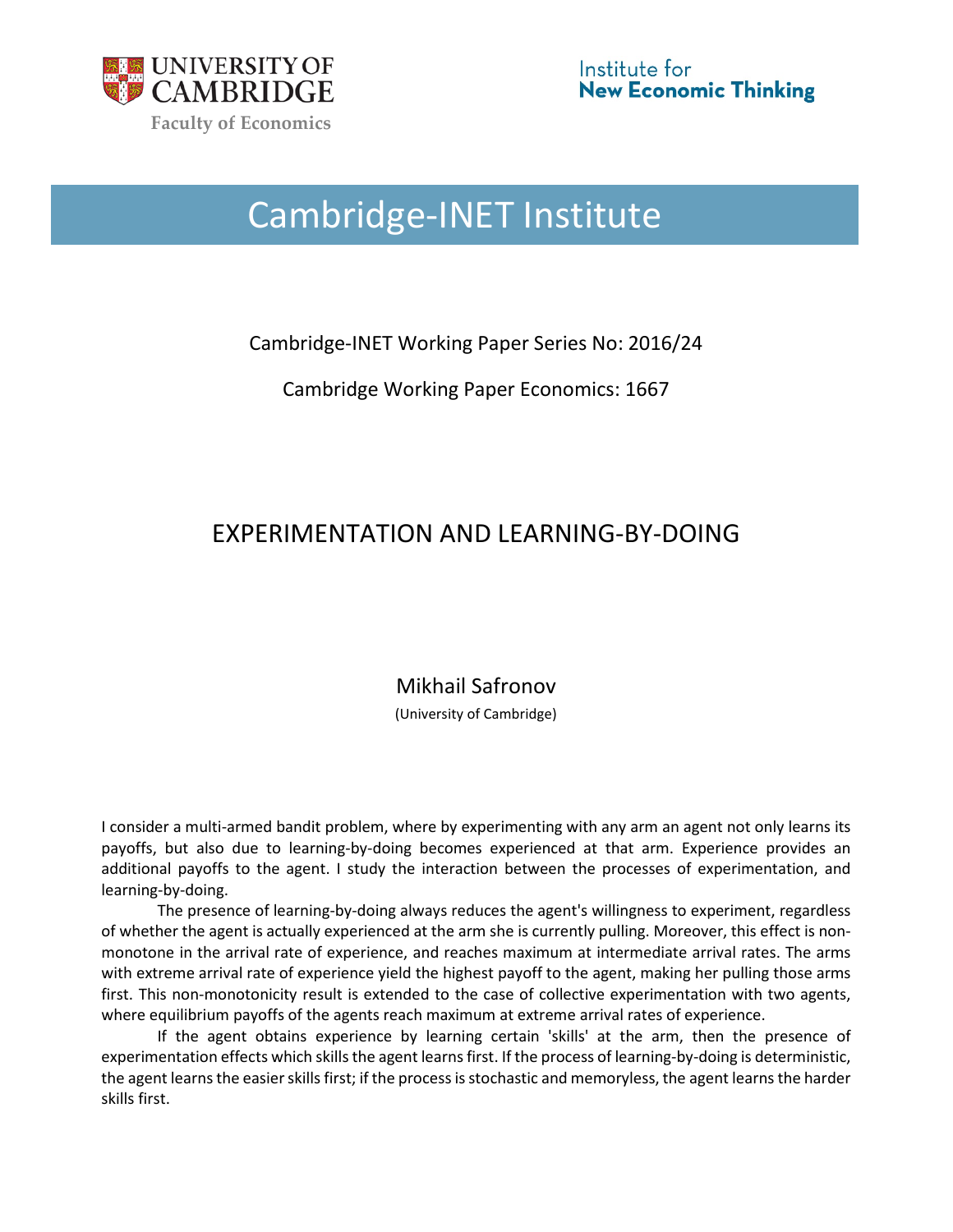

# Cambridge-INET Institute

Cambridge-INET Working Paper Series No: 2016/24

Cambridge Working Paper Economics: 1667

# EXPERIMENTATION AND LEARNING-BY-DOING

Mikhail Safronov

(University of Cambridge)

I consider a multi-armed bandit problem, where by experimenting with any arm an agent not only learns its payoffs, but also due to learning-by-doing becomes experienced at that arm. Experience provides an additional payoffs to the agent. I study the interaction between the processes of experimentation, and learning-by-doing.

The presence of learning-by-doing always reduces the agent's willingness to experiment, regardless of whether the agent is actually experienced at the arm she is currently pulling. Moreover, this effect is nonmonotone in the arrival rate of experience, and reaches maximum at intermediate arrival rates. The arms with extreme arrival rate of experience yield the highest payoff to the agent, making her pulling those arms first. This non-monotonicity result is extended to the case of collective experimentation with two agents, where equilibrium payoffs of the agents reach maximum at extreme arrival rates of experience.

If the agent obtains experience by learning certain 'skills' at the arm, then the presence of experimentation effects which skills the agent learns first. If the process of learning-by-doing is deterministic, the agent learns the easier skills first; if the process is stochastic and memoryless, the agent learns the harder skills first.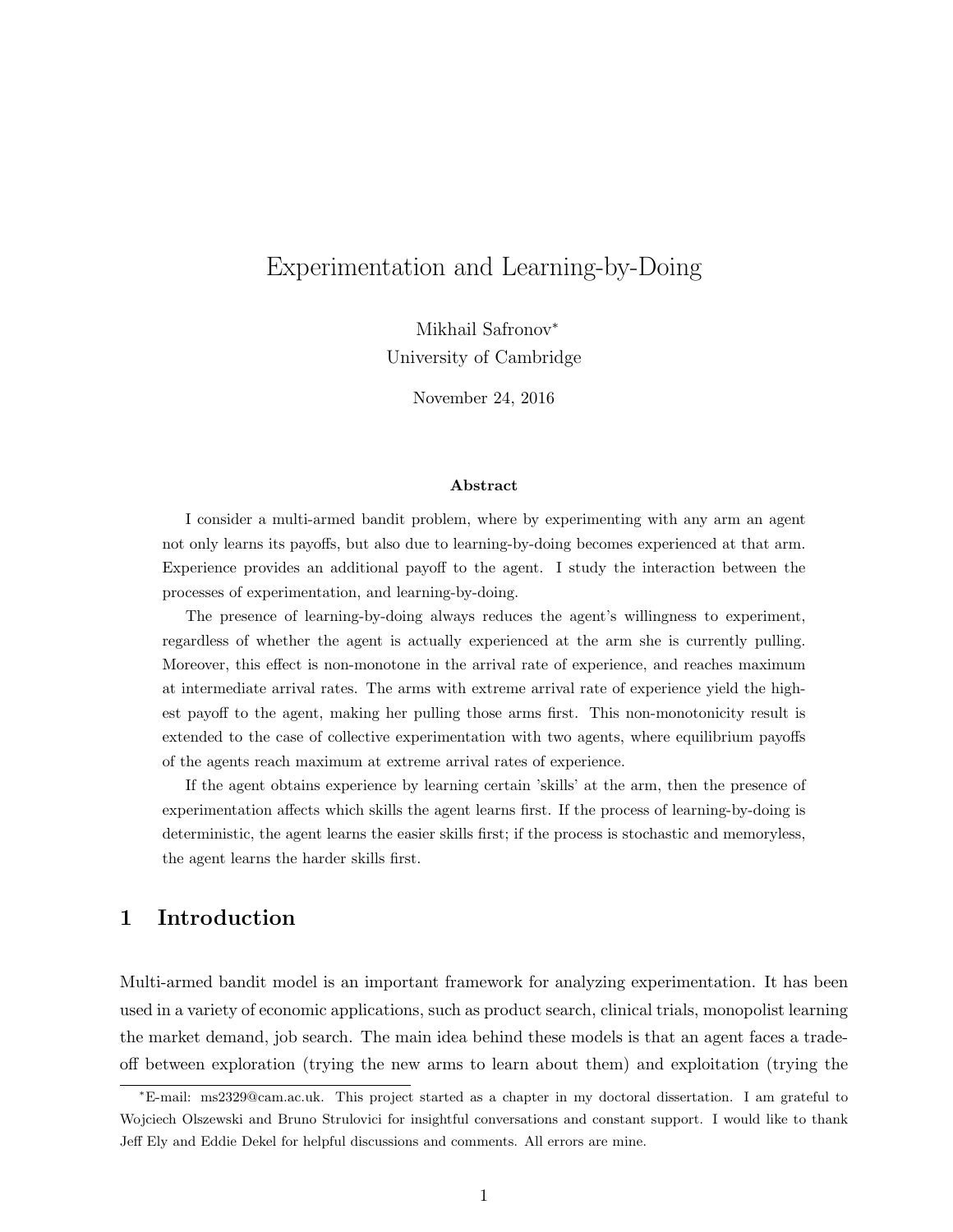# Experimentation and Learning-by-Doing

Mikhail Safronov<sup>∗</sup> University of Cambridge

November 24, 2016

#### Abstract

I consider a multi-armed bandit problem, where by experimenting with any arm an agent not only learns its payoffs, but also due to learning-by-doing becomes experienced at that arm. Experience provides an additional payoff to the agent. I study the interaction between the processes of experimentation, and learning-by-doing.

The presence of learning-by-doing always reduces the agent's willingness to experiment, regardless of whether the agent is actually experienced at the arm she is currently pulling. Moreover, this effect is non-monotone in the arrival rate of experience, and reaches maximum at intermediate arrival rates. The arms with extreme arrival rate of experience yield the highest payoff to the agent, making her pulling those arms first. This non-monotonicity result is extended to the case of collective experimentation with two agents, where equilibrium payoffs of the agents reach maximum at extreme arrival rates of experience.

If the agent obtains experience by learning certain 'skills' at the arm, then the presence of experimentation affects which skills the agent learns first. If the process of learning-by-doing is deterministic, the agent learns the easier skills first; if the process is stochastic and memoryless, the agent learns the harder skills first.

# 1 Introduction

Multi-armed bandit model is an important framework for analyzing experimentation. It has been used in a variety of economic applications, such as product search, clinical trials, monopolist learning the market demand, job search. The main idea behind these models is that an agent faces a tradeoff between exploration (trying the new arms to learn about them) and exploitation (trying the

<sup>∗</sup>E-mail: ms2329@cam.ac.uk. This project started as a chapter in my doctoral dissertation. I am grateful to Wojciech Olszewski and Bruno Strulovici for insightful conversations and constant support. I would like to thank Jeff Ely and Eddie Dekel for helpful discussions and comments. All errors are mine.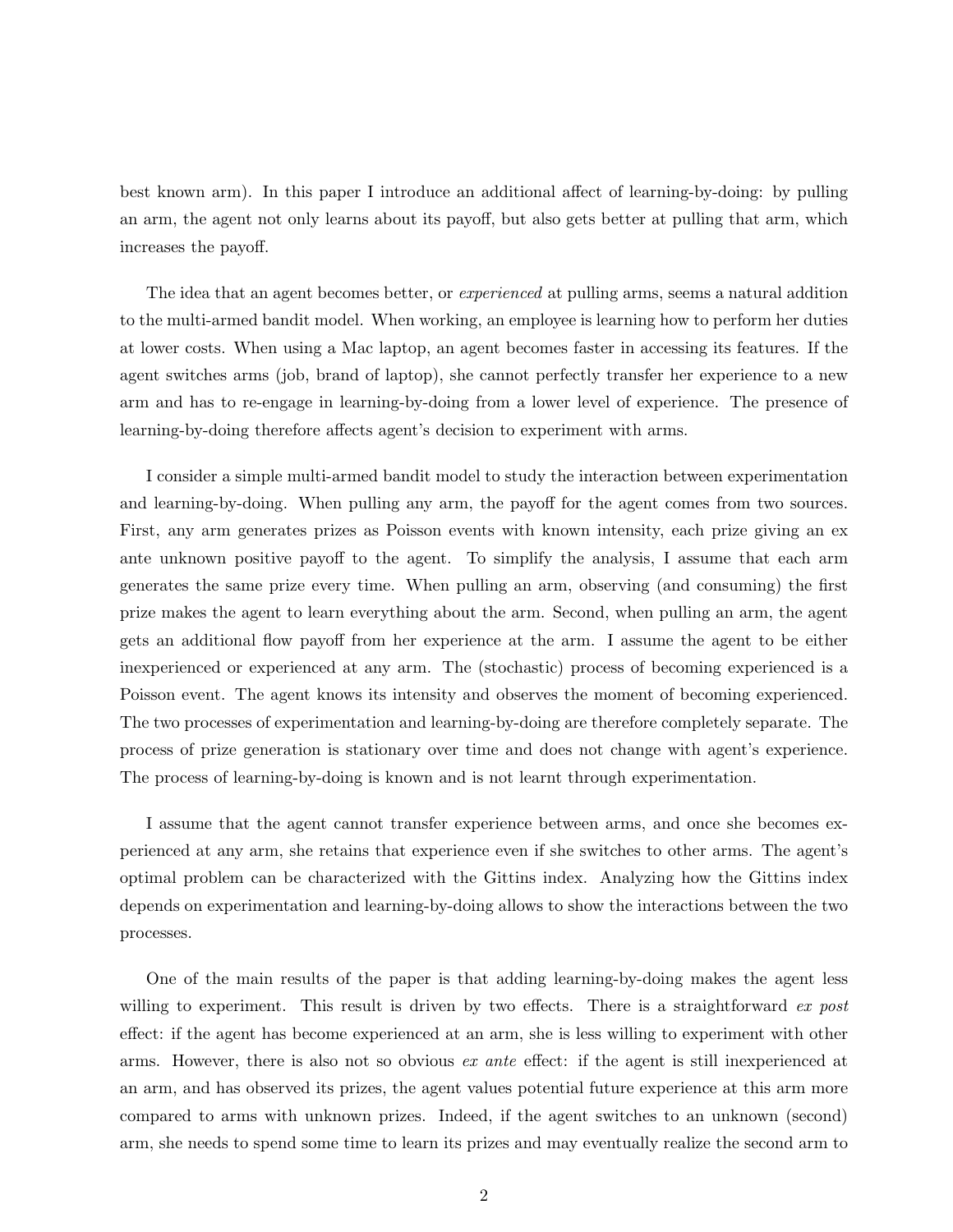best known arm). In this paper I introduce an additional affect of learning-by-doing: by pulling an arm, the agent not only learns about its payoff, but also gets better at pulling that arm, which increases the payoff.

The idea that an agent becomes better, or *experienced* at pulling arms, seems a natural addition to the multi-armed bandit model. When working, an employee is learning how to perform her duties at lower costs. When using a Mac laptop, an agent becomes faster in accessing its features. If the agent switches arms (job, brand of laptop), she cannot perfectly transfer her experience to a new arm and has to re-engage in learning-by-doing from a lower level of experience. The presence of learning-by-doing therefore affects agent's decision to experiment with arms.

I consider a simple multi-armed bandit model to study the interaction between experimentation and learning-by-doing. When pulling any arm, the payoff for the agent comes from two sources. First, any arm generates prizes as Poisson events with known intensity, each prize giving an ex ante unknown positive payoff to the agent. To simplify the analysis, I assume that each arm generates the same prize every time. When pulling an arm, observing (and consuming) the first prize makes the agent to learn everything about the arm. Second, when pulling an arm, the agent gets an additional flow payoff from her experience at the arm. I assume the agent to be either inexperienced or experienced at any arm. The (stochastic) process of becoming experienced is a Poisson event. The agent knows its intensity and observes the moment of becoming experienced. The two processes of experimentation and learning-by-doing are therefore completely separate. The process of prize generation is stationary over time and does not change with agent's experience. The process of learning-by-doing is known and is not learnt through experimentation.

I assume that the agent cannot transfer experience between arms, and once she becomes experienced at any arm, she retains that experience even if she switches to other arms. The agent's optimal problem can be characterized with the Gittins index. Analyzing how the Gittins index depends on experimentation and learning-by-doing allows to show the interactions between the two processes.

One of the main results of the paper is that adding learning-by-doing makes the agent less willing to experiment. This result is driven by two effects. There is a straightforward  $ex$  post effect: if the agent has become experienced at an arm, she is less willing to experiment with other arms. However, there is also not so obvious *ex ante* effect: if the agent is still inexperienced at an arm, and has observed its prizes, the agent values potential future experience at this arm more compared to arms with unknown prizes. Indeed, if the agent switches to an unknown (second) arm, she needs to spend some time to learn its prizes and may eventually realize the second arm to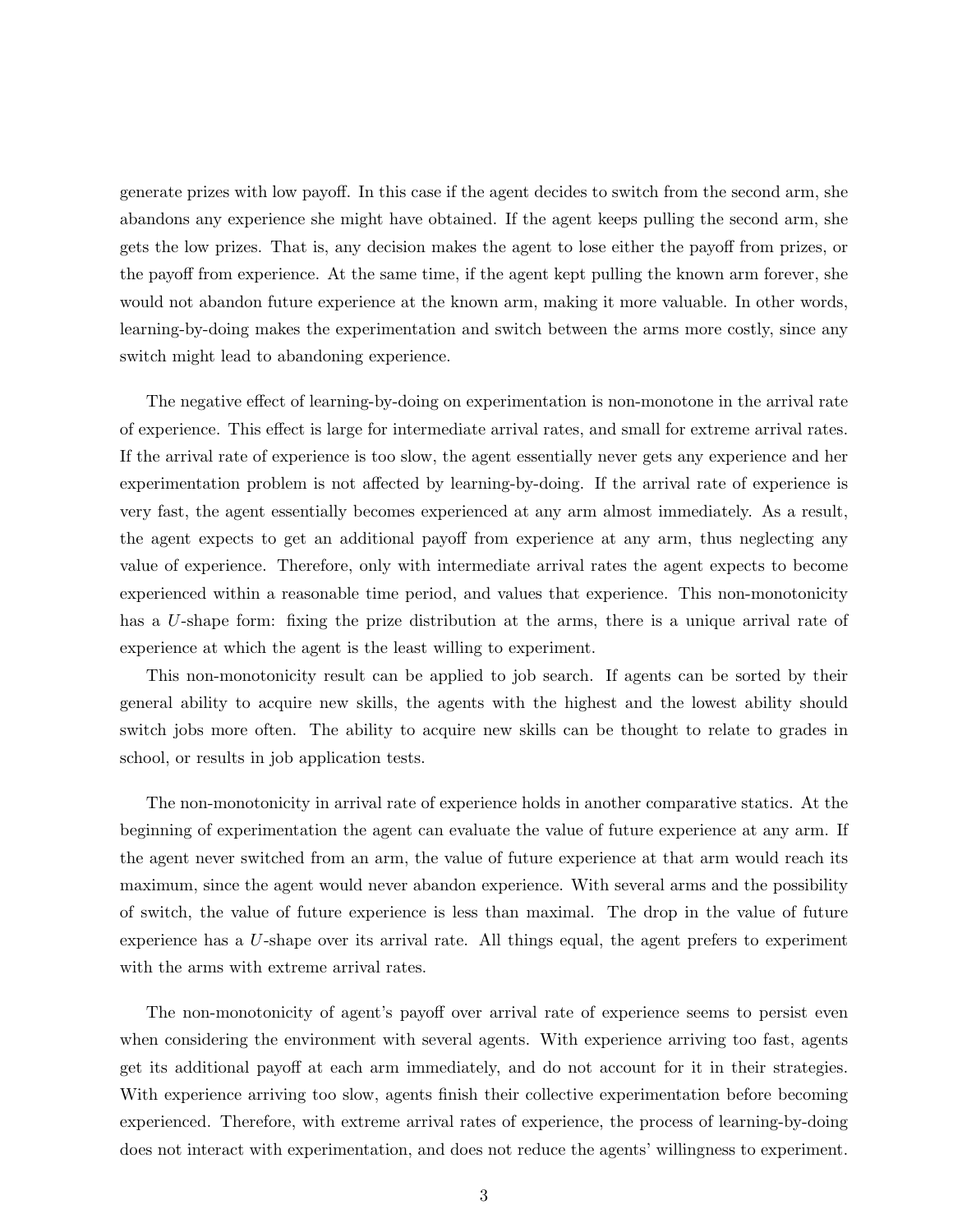generate prizes with low payoff. In this case if the agent decides to switch from the second arm, she abandons any experience she might have obtained. If the agent keeps pulling the second arm, she gets the low prizes. That is, any decision makes the agent to lose either the payoff from prizes, or the payoff from experience. At the same time, if the agent kept pulling the known arm forever, she would not abandon future experience at the known arm, making it more valuable. In other words, learning-by-doing makes the experimentation and switch between the arms more costly, since any switch might lead to abandoning experience.

The negative effect of learning-by-doing on experimentation is non-monotone in the arrival rate of experience. This effect is large for intermediate arrival rates, and small for extreme arrival rates. If the arrival rate of experience is too slow, the agent essentially never gets any experience and her experimentation problem is not affected by learning-by-doing. If the arrival rate of experience is very fast, the agent essentially becomes experienced at any arm almost immediately. As a result, the agent expects to get an additional payoff from experience at any arm, thus neglecting any value of experience. Therefore, only with intermediate arrival rates the agent expects to become experienced within a reasonable time period, and values that experience. This non-monotonicity has a U-shape form: fixing the prize distribution at the arms, there is a unique arrival rate of experience at which the agent is the least willing to experiment.

This non-monotonicity result can be applied to job search. If agents can be sorted by their general ability to acquire new skills, the agents with the highest and the lowest ability should switch jobs more often. The ability to acquire new skills can be thought to relate to grades in school, or results in job application tests.

The non-monotonicity in arrival rate of experience holds in another comparative statics. At the beginning of experimentation the agent can evaluate the value of future experience at any arm. If the agent never switched from an arm, the value of future experience at that arm would reach its maximum, since the agent would never abandon experience. With several arms and the possibility of switch, the value of future experience is less than maximal. The drop in the value of future experience has a  $U$ -shape over its arrival rate. All things equal, the agent prefers to experiment with the arms with extreme arrival rates.

The non-monotonicity of agent's payoff over arrival rate of experience seems to persist even when considering the environment with several agents. With experience arriving too fast, agents get its additional payoff at each arm immediately, and do not account for it in their strategies. With experience arriving too slow, agents finish their collective experimentation before becoming experienced. Therefore, with extreme arrival rates of experience, the process of learning-by-doing does not interact with experimentation, and does not reduce the agents' willingness to experiment.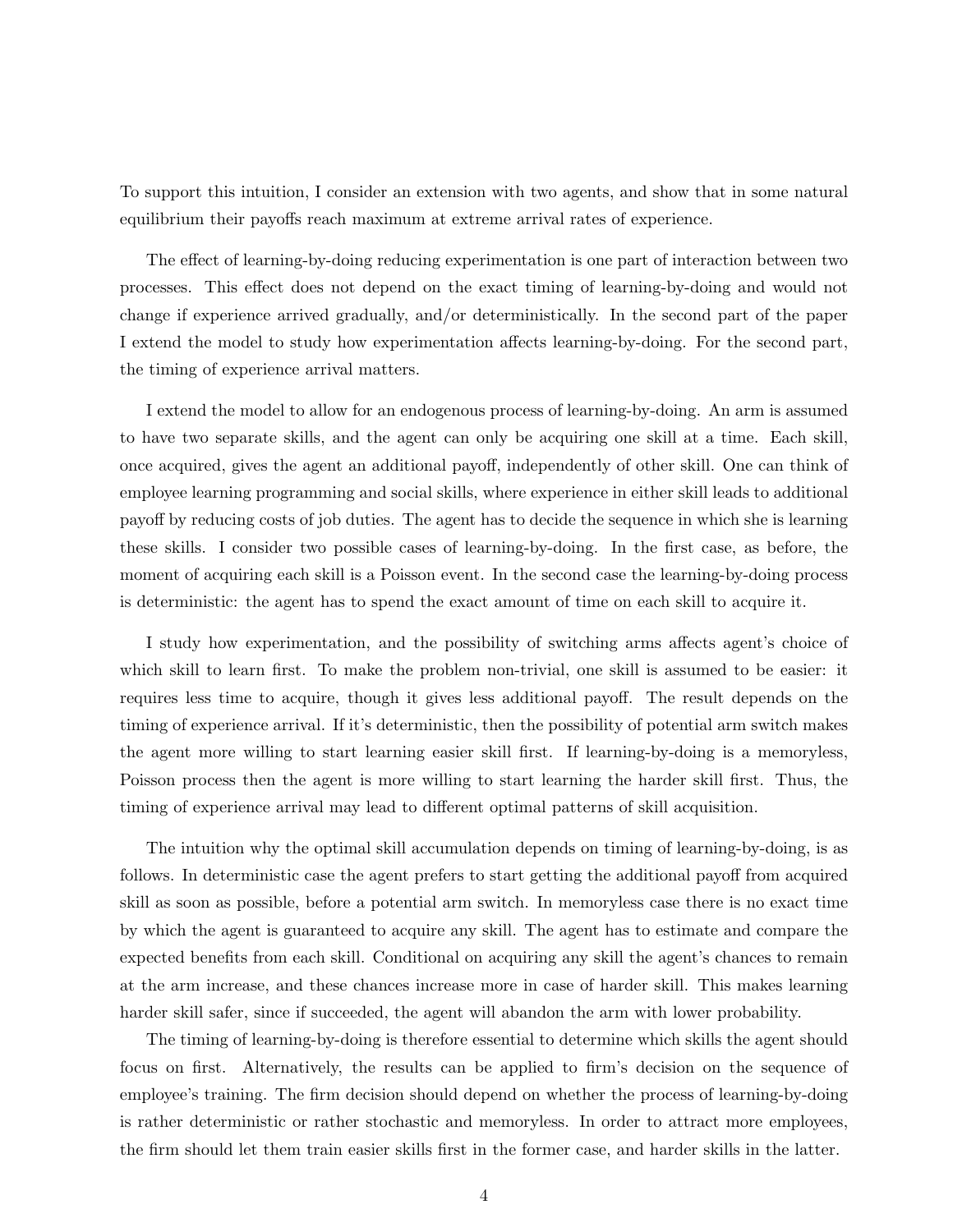To support this intuition, I consider an extension with two agents, and show that in some natural equilibrium their payoffs reach maximum at extreme arrival rates of experience.

The effect of learning-by-doing reducing experimentation is one part of interaction between two processes. This effect does not depend on the exact timing of learning-by-doing and would not change if experience arrived gradually, and/or deterministically. In the second part of the paper I extend the model to study how experimentation affects learning-by-doing. For the second part, the timing of experience arrival matters.

I extend the model to allow for an endogenous process of learning-by-doing. An arm is assumed to have two separate skills, and the agent can only be acquiring one skill at a time. Each skill, once acquired, gives the agent an additional payoff, independently of other skill. One can think of employee learning programming and social skills, where experience in either skill leads to additional payoff by reducing costs of job duties. The agent has to decide the sequence in which she is learning these skills. I consider two possible cases of learning-by-doing. In the first case, as before, the moment of acquiring each skill is a Poisson event. In the second case the learning-by-doing process is deterministic: the agent has to spend the exact amount of time on each skill to acquire it.

I study how experimentation, and the possibility of switching arms affects agent's choice of which skill to learn first. To make the problem non-trivial, one skill is assumed to be easier: it requires less time to acquire, though it gives less additional payoff. The result depends on the timing of experience arrival. If it's deterministic, then the possibility of potential arm switch makes the agent more willing to start learning easier skill first. If learning-by-doing is a memoryless, Poisson process then the agent is more willing to start learning the harder skill first. Thus, the timing of experience arrival may lead to different optimal patterns of skill acquisition.

The intuition why the optimal skill accumulation depends on timing of learning-by-doing, is as follows. In deterministic case the agent prefers to start getting the additional payoff from acquired skill as soon as possible, before a potential arm switch. In memoryless case there is no exact time by which the agent is guaranteed to acquire any skill. The agent has to estimate and compare the expected benefits from each skill. Conditional on acquiring any skill the agent's chances to remain at the arm increase, and these chances increase more in case of harder skill. This makes learning harder skill safer, since if succeeded, the agent will abandon the arm with lower probability.

The timing of learning-by-doing is therefore essential to determine which skills the agent should focus on first. Alternatively, the results can be applied to firm's decision on the sequence of employee's training. The firm decision should depend on whether the process of learning-by-doing is rather deterministic or rather stochastic and memoryless. In order to attract more employees, the firm should let them train easier skills first in the former case, and harder skills in the latter.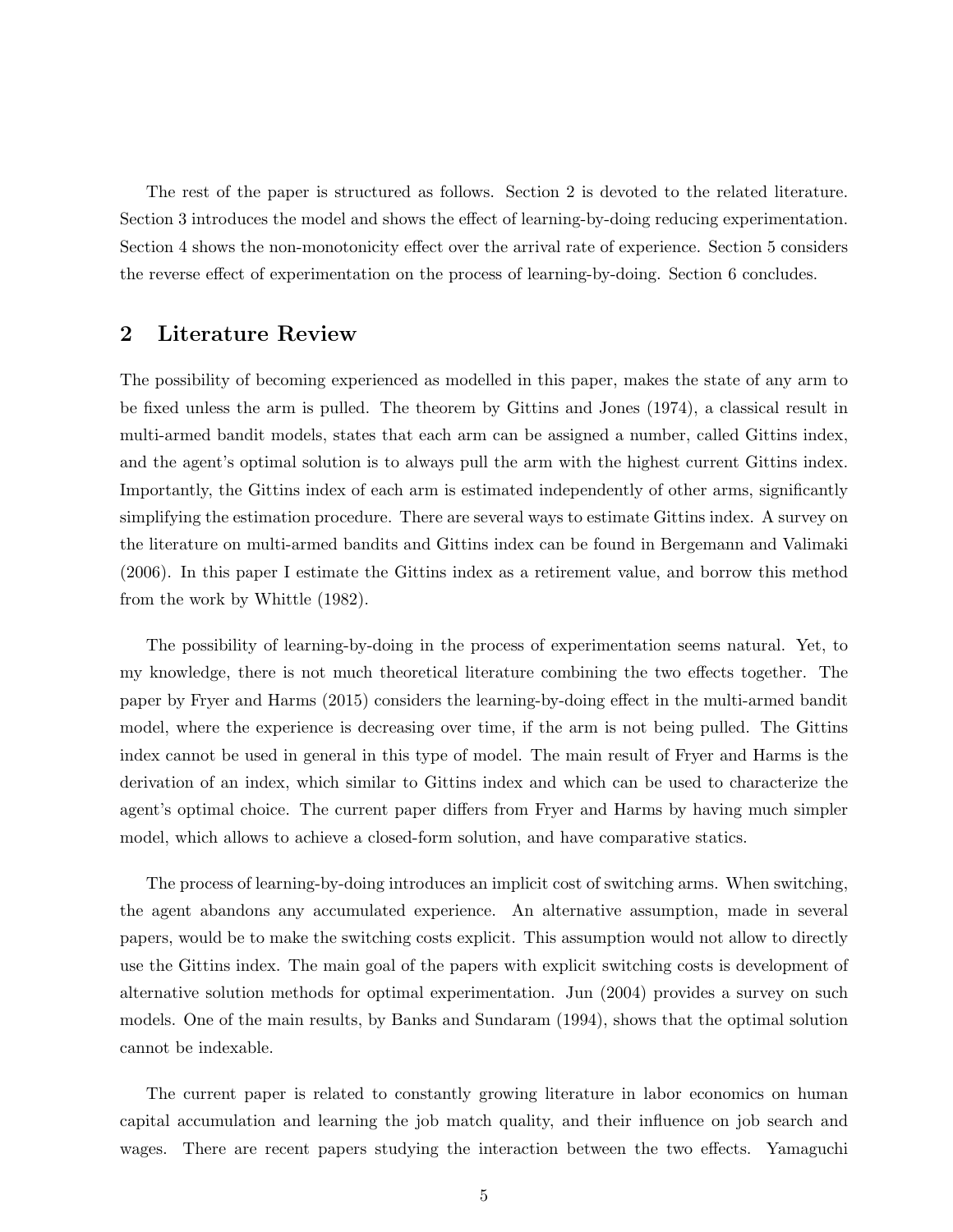The rest of the paper is structured as follows. Section 2 is devoted to the related literature. Section 3 introduces the model and shows the effect of learning-by-doing reducing experimentation. Section 4 shows the non-monotonicity effect over the arrival rate of experience. Section 5 considers the reverse effect of experimentation on the process of learning-by-doing. Section 6 concludes.

### 2 Literature Review

The possibility of becoming experienced as modelled in this paper, makes the state of any arm to be fixed unless the arm is pulled. The theorem by Gittins and Jones (1974), a classical result in multi-armed bandit models, states that each arm can be assigned a number, called Gittins index, and the agent's optimal solution is to always pull the arm with the highest current Gittins index. Importantly, the Gittins index of each arm is estimated independently of other arms, significantly simplifying the estimation procedure. There are several ways to estimate Gittins index. A survey on the literature on multi-armed bandits and Gittins index can be found in Bergemann and Valimaki (2006). In this paper I estimate the Gittins index as a retirement value, and borrow this method from the work by Whittle (1982).

The possibility of learning-by-doing in the process of experimentation seems natural. Yet, to my knowledge, there is not much theoretical literature combining the two effects together. The paper by Fryer and Harms (2015) considers the learning-by-doing effect in the multi-armed bandit model, where the experience is decreasing over time, if the arm is not being pulled. The Gittins index cannot be used in general in this type of model. The main result of Fryer and Harms is the derivation of an index, which similar to Gittins index and which can be used to characterize the agent's optimal choice. The current paper differs from Fryer and Harms by having much simpler model, which allows to achieve a closed-form solution, and have comparative statics.

The process of learning-by-doing introduces an implicit cost of switching arms. When switching, the agent abandons any accumulated experience. An alternative assumption, made in several papers, would be to make the switching costs explicit. This assumption would not allow to directly use the Gittins index. The main goal of the papers with explicit switching costs is development of alternative solution methods for optimal experimentation. Jun (2004) provides a survey on such models. One of the main results, by Banks and Sundaram (1994), shows that the optimal solution cannot be indexable.

The current paper is related to constantly growing literature in labor economics on human capital accumulation and learning the job match quality, and their influence on job search and wages. There are recent papers studying the interaction between the two effects. Yamaguchi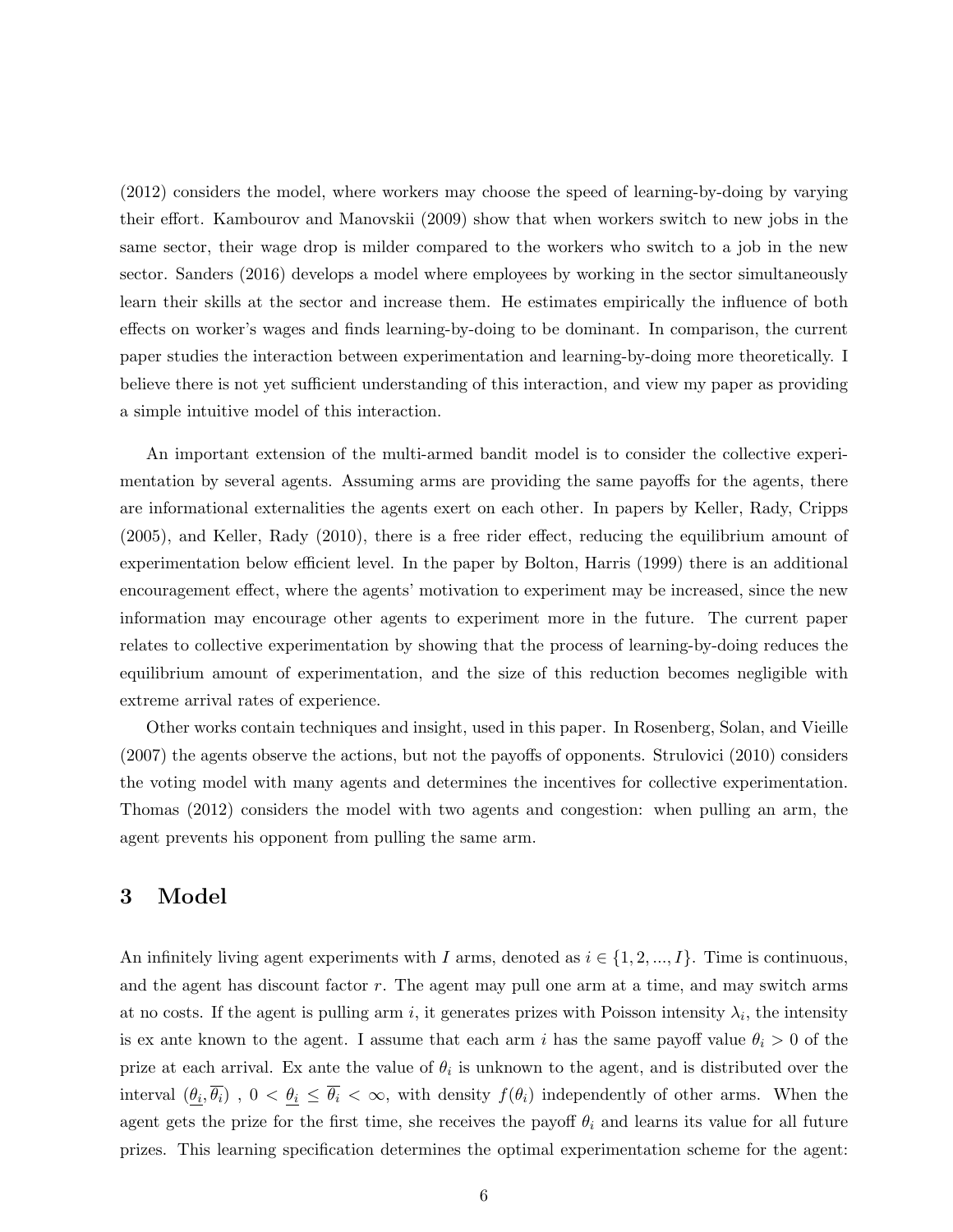(2012) considers the model, where workers may choose the speed of learning-by-doing by varying their effort. Kambourov and Manovskii (2009) show that when workers switch to new jobs in the same sector, their wage drop is milder compared to the workers who switch to a job in the new sector. Sanders (2016) develops a model where employees by working in the sector simultaneously learn their skills at the sector and increase them. He estimates empirically the influence of both effects on worker's wages and finds learning-by-doing to be dominant. In comparison, the current paper studies the interaction between experimentation and learning-by-doing more theoretically. I believe there is not yet sufficient understanding of this interaction, and view my paper as providing a simple intuitive model of this interaction.

An important extension of the multi-armed bandit model is to consider the collective experimentation by several agents. Assuming arms are providing the same payoffs for the agents, there are informational externalities the agents exert on each other. In papers by Keller, Rady, Cripps (2005), and Keller, Rady (2010), there is a free rider effect, reducing the equilibrium amount of experimentation below efficient level. In the paper by Bolton, Harris (1999) there is an additional encouragement effect, where the agents' motivation to experiment may be increased, since the new information may encourage other agents to experiment more in the future. The current paper relates to collective experimentation by showing that the process of learning-by-doing reduces the equilibrium amount of experimentation, and the size of this reduction becomes negligible with extreme arrival rates of experience.

Other works contain techniques and insight, used in this paper. In Rosenberg, Solan, and Vieille (2007) the agents observe the actions, but not the payoffs of opponents. Strulovici (2010) considers the voting model with many agents and determines the incentives for collective experimentation. Thomas (2012) considers the model with two agents and congestion: when pulling an arm, the agent prevents his opponent from pulling the same arm.

## 3 Model

An infinitely living agent experiments with I arms, denoted as  $i \in \{1, 2, ..., I\}$ . Time is continuous, and the agent has discount factor r. The agent may pull one arm at a time, and may switch arms at no costs. If the agent is pulling arm i, it generates prizes with Poisson intensity  $\lambda_i$ , the intensity is ex ante known to the agent. I assume that each arm i has the same payoff value  $\theta_i > 0$  of the prize at each arrival. Ex ante the value of  $\theta_i$  is unknown to the agent, and is distributed over the interval  $(\theta_i, \overline{\theta_i})$ ,  $0 < \theta_i \le \overline{\theta_i} < \infty$ , with density  $f(\theta_i)$  independently of other arms. When the agent gets the prize for the first time, she receives the payoff  $\theta_i$  and learns its value for all future prizes. This learning specification determines the optimal experimentation scheme for the agent: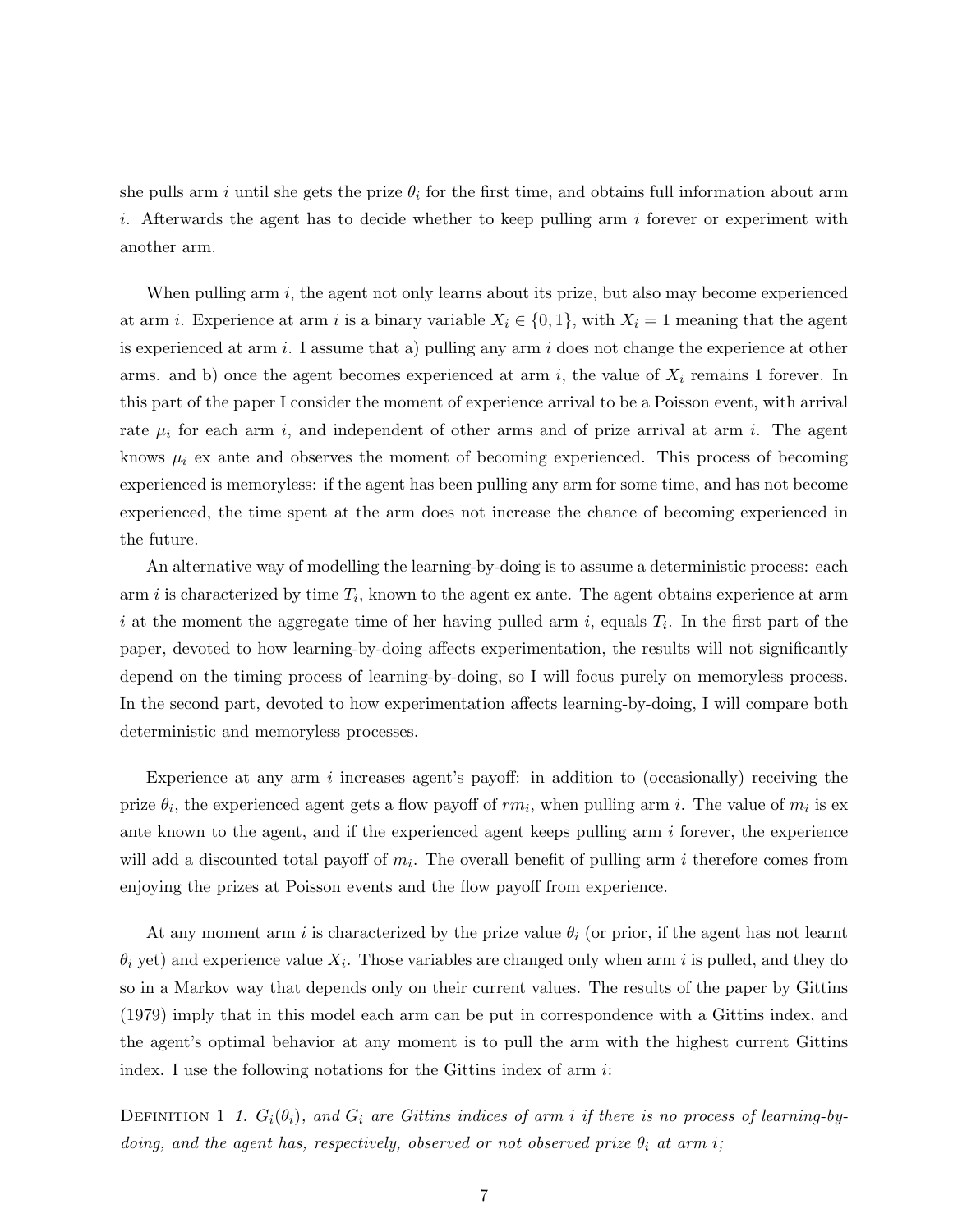she pulls arm i until she gets the prize  $\theta_i$  for the first time, and obtains full information about arm i. Afterwards the agent has to decide whether to keep pulling arm i forever or experiment with another arm.

When pulling arm  $i$ , the agent not only learns about its prize, but also may become experienced at arm *i*. Experience at arm *i* is a binary variable  $X_i \in \{0,1\}$ , with  $X_i = 1$  meaning that the agent is experienced at arm  $i$ . I assume that a) pulling any arm  $i$  does not change the experience at other arms. and b) once the agent becomes experienced at arm i, the value of  $X_i$  remains 1 forever. In this part of the paper I consider the moment of experience arrival to be a Poisson event, with arrival rate  $\mu_i$  for each arm i, and independent of other arms and of prize arrival at arm i. The agent knows  $\mu_i$  ex ante and observes the moment of becoming experienced. This process of becoming experienced is memoryless: if the agent has been pulling any arm for some time, and has not become experienced, the time spent at the arm does not increase the chance of becoming experienced in the future.

An alternative way of modelling the learning-by-doing is to assume a deterministic process: each  $\alpha$  arm i is characterized by time  $T_i$ , known to the agent ex ante. The agent obtains experience at arm i at the moment the aggregate time of her having pulled arm i, equals  $T_i$ . In the first part of the paper, devoted to how learning-by-doing affects experimentation, the results will not significantly depend on the timing process of learning-by-doing, so I will focus purely on memoryless process. In the second part, devoted to how experimentation affects learning-by-doing, I will compare both deterministic and memoryless processes.

Experience at any arm  $i$  increases agent's payoff: in addition to (occasionally) receiving the prize  $\theta_i$ , the experienced agent gets a flow payoff of  $rm_i$ , when pulling arm i. The value of  $m_i$  is ex ante known to the agent, and if the experienced agent keeps pulling arm  $i$  forever, the experience will add a discounted total payoff of  $m_i$ . The overall benefit of pulling arm i therefore comes from enjoying the prizes at Poisson events and the flow payoff from experience.

At any moment arm i is characterized by the prize value  $\theta_i$  (or prior, if the agent has not learnt  $\theta_i$  yet) and experience value  $X_i$ . Those variables are changed only when arm i is pulled, and they do so in a Markov way that depends only on their current values. The results of the paper by Gittins (1979) imply that in this model each arm can be put in correspondence with a Gittins index, and the agent's optimal behavior at any moment is to pull the arm with the highest current Gittins index. I use the following notations for the Gittins index of arm  $i$ :

DEFINITION 1 1.  $G_i(\theta_i)$ , and  $G_i$  are Gittins indices of arm i if there is no process of learning-bydoing, and the agent has, respectively, observed or not observed prize  $\theta_i$  at arm i;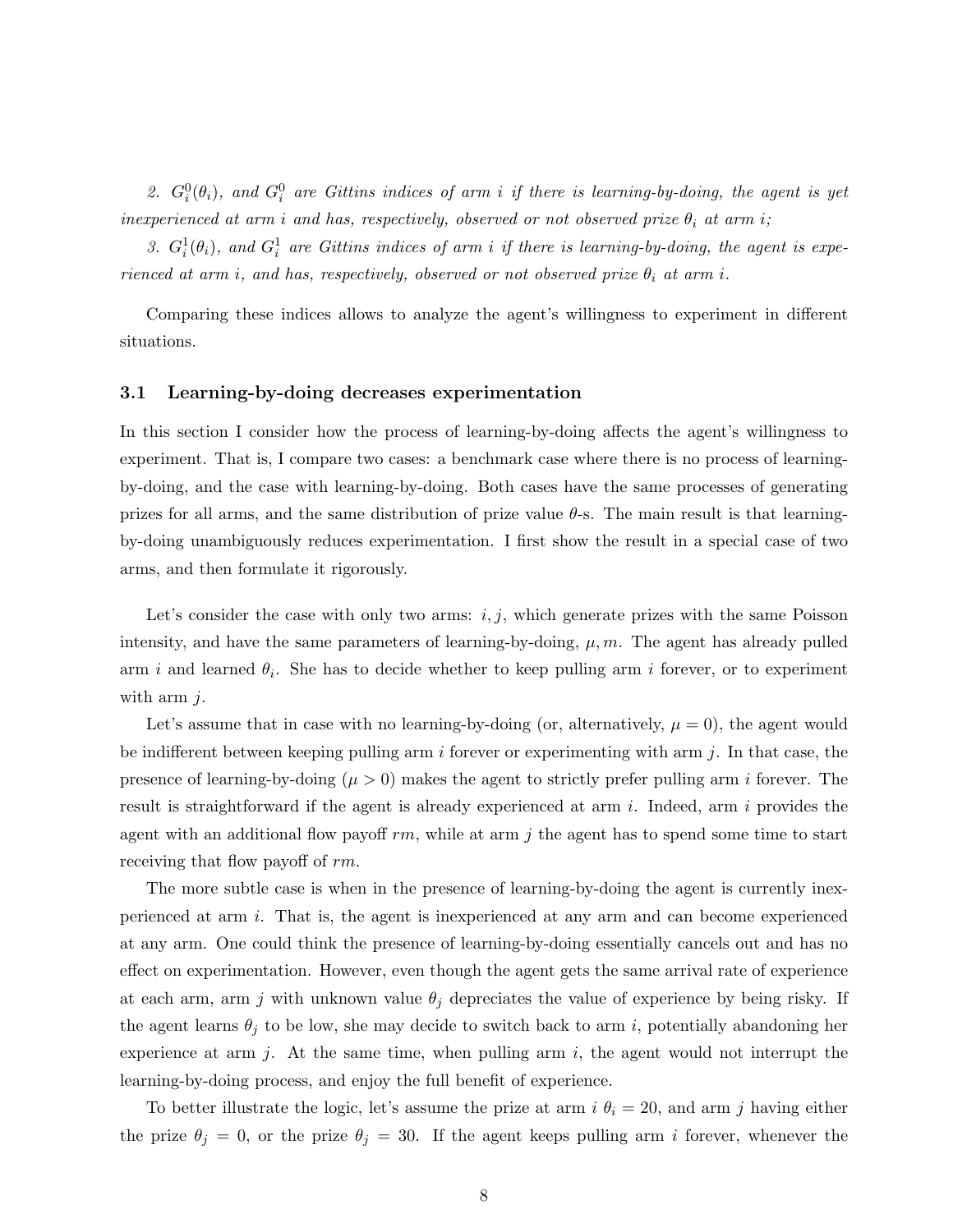2.  $G_i^0(\theta_i)$ , and  $G_i^0$  are Gittins indices of arm i if there is learning-by-doing, the agent is yet inexperienced at arm i and has, respectively, observed or not observed prize  $\theta_i$  at arm i;

3.  $G_i^1(\theta_i)$ , and  $G_i^1$  are Gittins indices of arm i if there is learning-by-doing, the agent is experienced at arm i, and has, respectively, observed or not observed prize  $\theta_i$  at arm i.

Comparing these indices allows to analyze the agent's willingness to experiment in different situations.

#### 3.1 Learning-by-doing decreases experimentation

In this section I consider how the process of learning-by-doing affects the agent's willingness to experiment. That is, I compare two cases: a benchmark case where there is no process of learningby-doing, and the case with learning-by-doing. Both cases have the same processes of generating prizes for all arms, and the same distribution of prize value  $\theta$ -s. The main result is that learningby-doing unambiguously reduces experimentation. I first show the result in a special case of two arms, and then formulate it rigorously.

Let's consider the case with only two arms:  $i, j$ , which generate prizes with the same Poisson intensity, and have the same parameters of learning-by-doing,  $\mu$ ,  $m$ . The agent has already pulled arm i and learned  $\theta_i$ . She has to decide whether to keep pulling arm i forever, or to experiment with arm  $i$ .

Let's assume that in case with no learning-by-doing (or, alternatively,  $\mu = 0$ ), the agent would be indifferent between keeping pulling arm  $i$  forever or experimenting with arm  $j$ . In that case, the presence of learning-by-doing ( $\mu > 0$ ) makes the agent to strictly prefer pulling arm *i* forever. The result is straightforward if the agent is already experienced at arm i. Indeed, arm i provides the agent with an additional flow payoff  $rm$ , while at arm j the agent has to spend some time to start receiving that flow payoff of rm.

The more subtle case is when in the presence of learning-by-doing the agent is currently inexperienced at arm i. That is, the agent is inexperienced at any arm and can become experienced at any arm. One could think the presence of learning-by-doing essentially cancels out and has no effect on experimentation. However, even though the agent gets the same arrival rate of experience at each arm, arm j with unknown value  $\theta_j$  depreciates the value of experience by being risky. If the agent learns  $\theta_i$  to be low, she may decide to switch back to arm i, potentially abandoning her experience at arm j. At the same time, when pulling arm  $i$ , the agent would not interrupt the learning-by-doing process, and enjoy the full benefit of experience.

To better illustrate the logic, let's assume the prize at arm  $i \theta_i = 20$ , and arm j having either the prize  $\theta_j = 0$ , or the prize  $\theta_j = 30$ . If the agent keeps pulling arm i forever, whenever the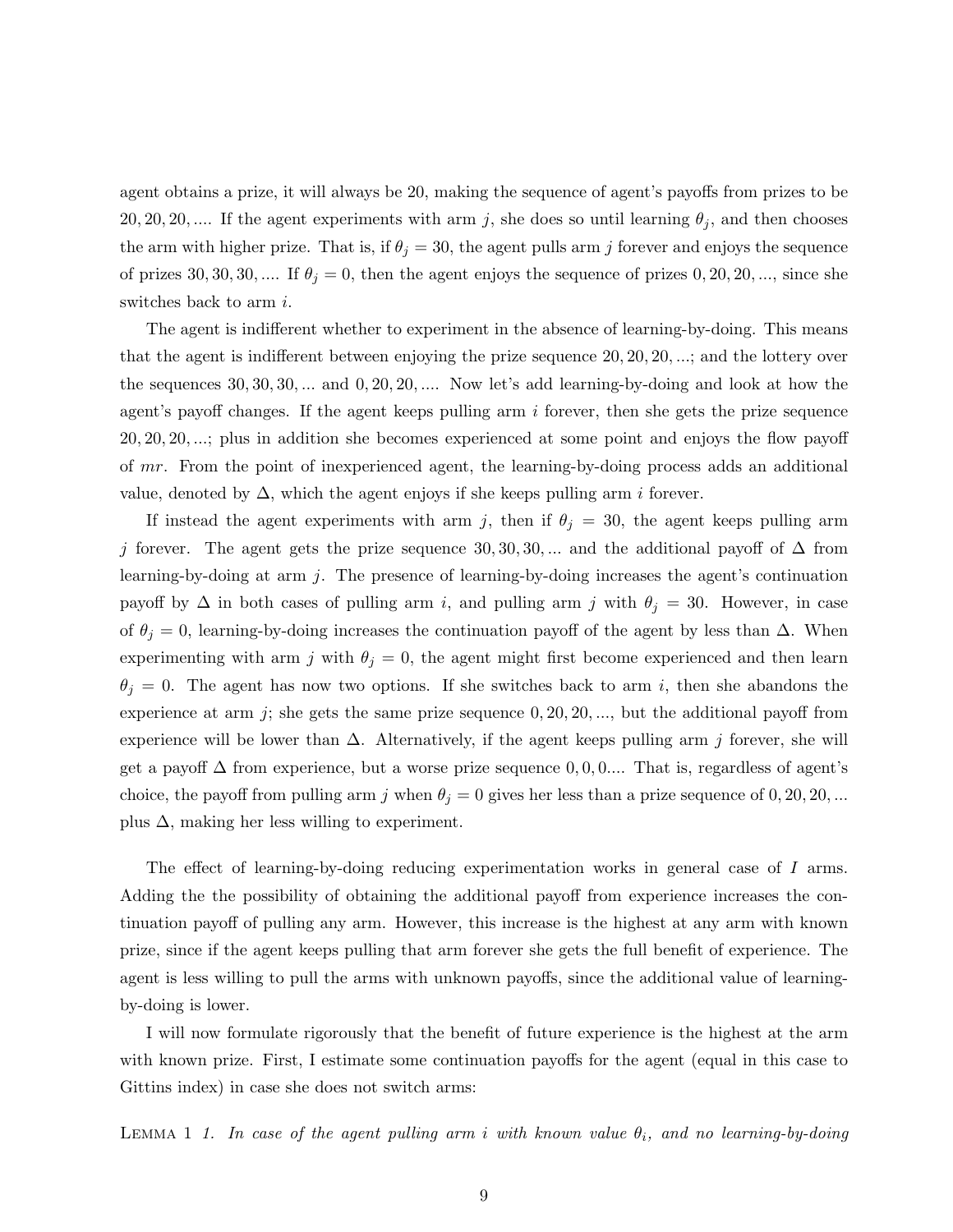agent obtains a prize, it will always be 20, making the sequence of agent's payoffs from prizes to be 20, 20, 20, .... If the agent experiments with arm j, she does so until learning  $\theta_j$ , and then chooses the arm with higher prize. That is, if  $\theta_j = 30$ , the agent pulls arm j forever and enjoys the sequence of prizes 30, 30, 30, .... If  $\theta_j = 0$ , then the agent enjoys the sequence of prizes 0, 20, 20, ..., since she switches back to arm *i*.

The agent is indifferent whether to experiment in the absence of learning-by-doing. This means that the agent is indifferent between enjoying the prize sequence 20, 20, 20, ...; and the lottery over the sequences  $30, 30, 30, \ldots$  and  $0, 20, 20, \ldots$  Now let's add learning-by-doing and look at how the agent's payoff changes. If the agent keeps pulling arm  $i$  forever, then she gets the prize sequence 20, 20, 20, ...; plus in addition she becomes experienced at some point and enjoys the flow payoff of mr. From the point of inexperienced agent, the learning-by-doing process adds an additional value, denoted by  $\Delta$ , which the agent enjoys if she keeps pulling arm *i* forever.

If instead the agent experiments with arm j, then if  $\theta_j = 30$ , the agent keeps pulling arm j forever. The agent gets the prize sequence 30, 30, 30, ... and the additional payoff of  $\Delta$  from learning-by-doing at arm j. The presence of learning-by-doing increases the agent's continuation payoff by  $\Delta$  in both cases of pulling arm i, and pulling arm j with  $\theta_j = 30$ . However, in case of  $\theta_j = 0$ , learning-by-doing increases the continuation payoff of the agent by less than  $\Delta$ . When experimenting with arm j with  $\theta_j = 0$ , the agent might first become experienced and then learn  $\theta_j = 0$ . The agent has now two options. If she switches back to arm i, then she abandons the experience at arm j; she gets the same prize sequence  $0, 20, 20, \ldots$ , but the additional payoff from experience will be lower than  $\Delta$ . Alternatively, if the agent keeps pulling arm j forever, she will get a payoff  $\Delta$  from experience, but a worse prize sequence  $0, 0, 0, \ldots$  That is, regardless of agent's choice, the payoff from pulling arm j when  $\theta_j = 0$  gives her less than a prize sequence of 0, 20, 20, ... plus  $\Delta$ , making her less willing to experiment.

The effect of learning-by-doing reducing experimentation works in general case of I arms. Adding the the possibility of obtaining the additional payoff from experience increases the continuation payoff of pulling any arm. However, this increase is the highest at any arm with known prize, since if the agent keeps pulling that arm forever she gets the full benefit of experience. The agent is less willing to pull the arms with unknown payoffs, since the additional value of learningby-doing is lower.

I will now formulate rigorously that the benefit of future experience is the highest at the arm with known prize. First, I estimate some continuation payoffs for the agent (equal in this case to Gittins index) in case she does not switch arms:

<span id="page-9-0"></span>LEMMA 1 1. In case of the agent pulling arm i with known value  $\theta_i$ , and no learning-by-doing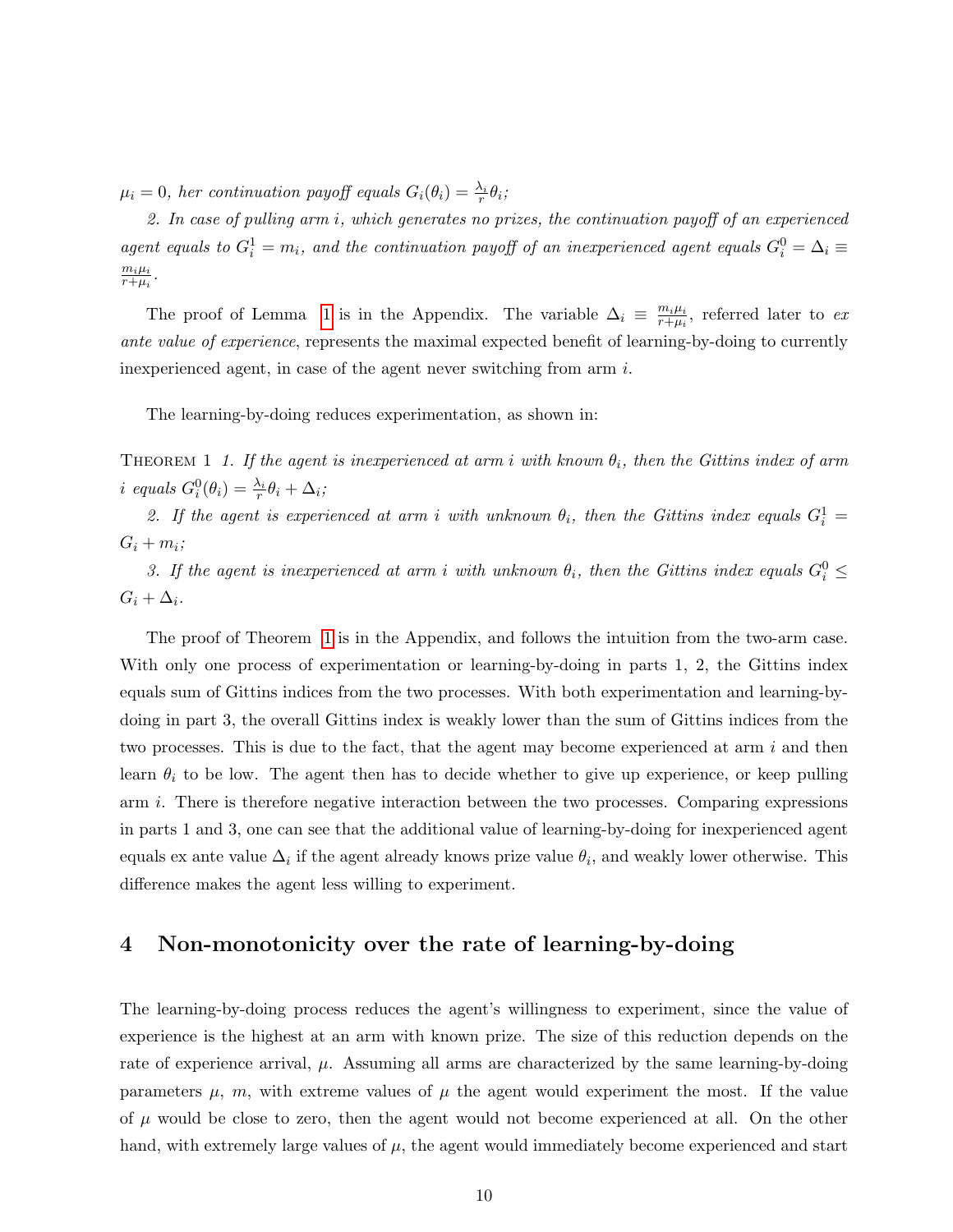$\mu_i = 0$ , her continuation payoff equals  $G_i(\theta_i) = \frac{\lambda_i}{r} \theta_i;$ 

2. In case of pulling arm i, which generates no prizes, the continuation payoff of an experienced agent equals to  $G_i^1 = m_i$ , and the continuation payoff of an inexperienced agent equals  $G_i^0 = \Delta_i \equiv$  $m_i\mu_i$  $\frac{m_i\mu_i}{r+\mu_i}$  .

The proof of Lemma [1](#page-9-0) is in the Appendix. The variable  $\Delta_i \equiv \frac{m_i \mu_i}{r + \mu_i}$  $\frac{m_i\mu_i}{r+\mu_i}$ , referred later to ex ante value of experience, represents the maximal expected benefit of learning-by-doing to currently inexperienced agent, in case of the agent never switching from arm  $i$ .

<span id="page-10-0"></span>The learning-by-doing reduces experimentation, as shown in:

THEOREM 1 1. If the agent is inexperienced at arm i with known  $\theta_i$ , then the Gittins index of arm i equals  $G_i^0(\theta_i) = \frac{\lambda_i}{r} \theta_i + \Delta_i;$ 

2. If the agent is experienced at arm i with unknown  $\theta_i$ , then the Gittins index equals  $G_i^1 =$  $G_i + m_i;$ 

3. If the agent is inexperienced at arm i with unknown  $\theta_i$ , then the Gittins index equals  $G_i^0 \leq$  $G_i + \Delta_i$ .

The proof of Theorem [1](#page-10-0) is in the Appendix, and follows the intuition from the two-arm case. With only one process of experimentation or learning-by-doing in parts 1, 2, the Gittins index equals sum of Gittins indices from the two processes. With both experimentation and learning-bydoing in part 3, the overall Gittins index is weakly lower than the sum of Gittins indices from the two processes. This is due to the fact, that the agent may become experienced at arm  $i$  and then learn  $\theta_i$  to be low. The agent then has to decide whether to give up experience, or keep pulling arm i. There is therefore negative interaction between the two processes. Comparing expressions in parts 1 and 3, one can see that the additional value of learning-by-doing for inexperienced agent equals ex ante value  $\Delta_i$  if the agent already knows prize value  $\theta_i$ , and weakly lower otherwise. This difference makes the agent less willing to experiment.

# 4 Non-monotonicity over the rate of learning-by-doing

The learning-by-doing process reduces the agent's willingness to experiment, since the value of experience is the highest at an arm with known prize. The size of this reduction depends on the rate of experience arrival,  $\mu$ . Assuming all arms are characterized by the same learning-by-doing parameters  $\mu$ ,  $m$ , with extreme values of  $\mu$  the agent would experiment the most. If the value of  $\mu$  would be close to zero, then the agent would not become experienced at all. On the other hand, with extremely large values of  $\mu$ , the agent would immediately become experienced and start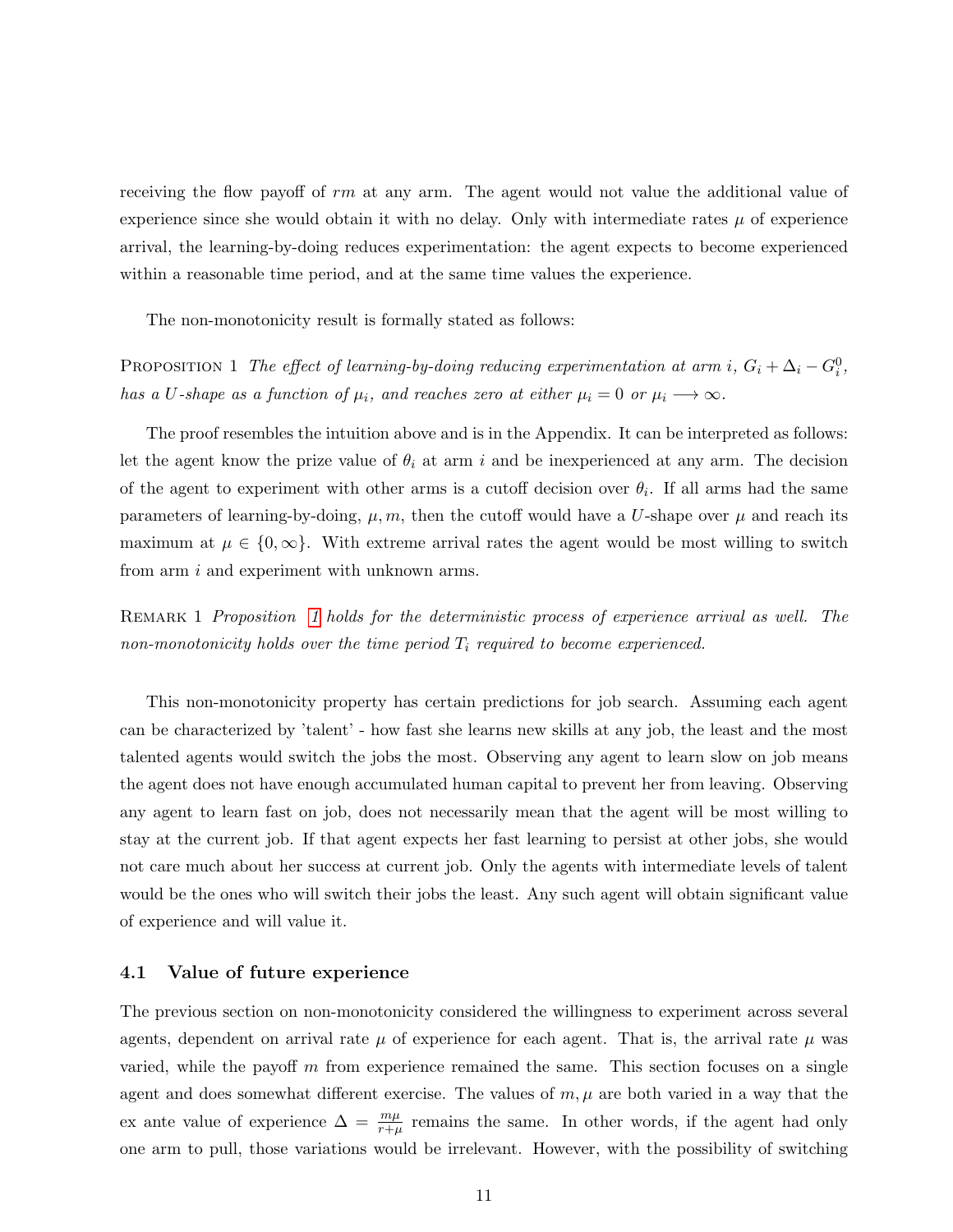receiving the flow payoff of rm at any arm. The agent would not value the additional value of experience since she would obtain it with no delay. Only with intermediate rates  $\mu$  of experience arrival, the learning-by-doing reduces experimentation: the agent expects to become experienced within a reasonable time period, and at the same time values the experience.

The non-monotonicity result is formally stated as follows:

<span id="page-11-0"></span>PROPOSITION 1 The effect of learning-by-doing reducing experimentation at arm i,  $G_i + \Delta_i - G_i^0$ , has a U-shape as a function of  $\mu_i$ , and reaches zero at either  $\mu_i = 0$  or  $\mu_i \longrightarrow \infty$ .

The proof resembles the intuition above and is in the Appendix. It can be interpreted as follows: let the agent know the prize value of  $\theta_i$  at arm i and be inexperienced at any arm. The decision of the agent to experiment with other arms is a cutoff decision over  $\theta_i$ . If all arms had the same parameters of learning-by-doing,  $\mu, m$ , then the cutoff would have a U-shape over  $\mu$  and reach its maximum at  $\mu \in \{0, \infty\}$ . With extreme arrival rates the agent would be most willing to switch from arm i and experiment with unknown arms.

REMARK [1](#page-11-0) Proposition 1 holds for the deterministic process of experience arrival as well. The non-monotonicity holds over the time period  $T_i$  required to become experienced.

This non-monotonicity property has certain predictions for job search. Assuming each agent can be characterized by 'talent' - how fast she learns new skills at any job, the least and the most talented agents would switch the jobs the most. Observing any agent to learn slow on job means the agent does not have enough accumulated human capital to prevent her from leaving. Observing any agent to learn fast on job, does not necessarily mean that the agent will be most willing to stay at the current job. If that agent expects her fast learning to persist at other jobs, she would not care much about her success at current job. Only the agents with intermediate levels of talent would be the ones who will switch their jobs the least. Any such agent will obtain significant value of experience and will value it.

#### 4.1 Value of future experience

The previous section on non-monotonicity considered the willingness to experiment across several agents, dependent on arrival rate  $\mu$  of experience for each agent. That is, the arrival rate  $\mu$  was varied, while the payoff  $m$  from experience remained the same. This section focuses on a single agent and does somewhat different exercise. The values of  $m, \mu$  are both varied in a way that the ex ante value of experience  $\Delta = \frac{m\mu}{r+\mu}$  remains the same. In other words, if the agent had only one arm to pull, those variations would be irrelevant. However, with the possibility of switching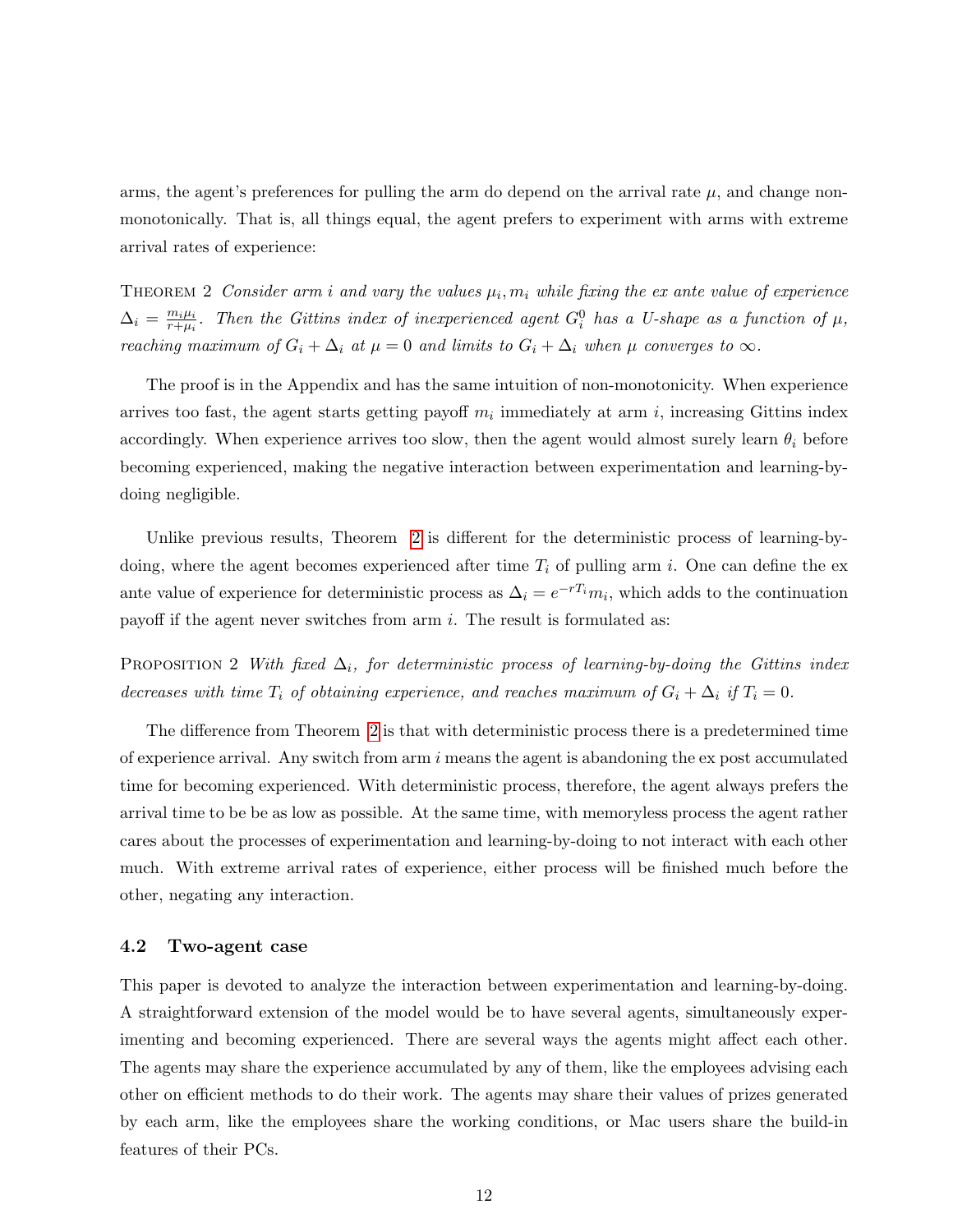arms, the agent's preferences for pulling the arm do depend on the arrival rate  $\mu$ , and change nonmonotonically. That is, all things equal, the agent prefers to experiment with arms with extreme arrival rates of experience:

<span id="page-12-0"></span>THEOREM 2 Consider arm i and vary the values  $\mu_i, m_i$  while fixing the ex ante value of experience  $\Delta_i = \frac{m_i \mu_i}{r + \mu_i}$  $\frac{m_i\mu_i}{r+\mu_i}$ . Then the Gittins index of inexperienced agent  $G_i^0$  has a U-shape as a function of  $\mu$ , reaching maximum of  $G_i + \Delta_i$  at  $\mu = 0$  and limits to  $G_i + \Delta_i$  when  $\mu$  converges to  $\infty$ .

The proof is in the Appendix and has the same intuition of non-monotonicity. When experience arrives too fast, the agent starts getting payoff  $m_i$  immediately at arm i, increasing Gittins index accordingly. When experience arrives too slow, then the agent would almost surely learn  $\theta_i$  before becoming experienced, making the negative interaction between experimentation and learning-bydoing negligible.

Unlike previous results, Theorem [2](#page-12-0) is different for the deterministic process of learning-bydoing, where the agent becomes experienced after time  $T_i$  of pulling arm i. One can define the exante value of experience for deterministic process as  $\Delta_i = e^{-rT_i}m_i$ , which adds to the continuation payoff if the agent never switches from arm  $i$ . The result is formulated as:

PROPOSITION 2 With fixed  $\Delta_i$ , for deterministic process of learning-by-doing the Gittins index decreases with time  $T_i$  of obtaining experience, and reaches maximum of  $G_i + \Delta_i$  if  $T_i = 0$ .

The difference from Theorem [2](#page-12-0) is that with deterministic process there is a predetermined time of experience arrival. Any switch from arm  $i$  means the agent is abandoning the expost accumulated time for becoming experienced. With deterministic process, therefore, the agent always prefers the arrival time to be be as low as possible. At the same time, with memoryless process the agent rather cares about the processes of experimentation and learning-by-doing to not interact with each other much. With extreme arrival rates of experience, either process will be finished much before the other, negating any interaction.

#### 4.2 Two-agent case

This paper is devoted to analyze the interaction between experimentation and learning-by-doing. A straightforward extension of the model would be to have several agents, simultaneously experimenting and becoming experienced. There are several ways the agents might affect each other. The agents may share the experience accumulated by any of them, like the employees advising each other on efficient methods to do their work. The agents may share their values of prizes generated by each arm, like the employees share the working conditions, or Mac users share the build-in features of their PCs.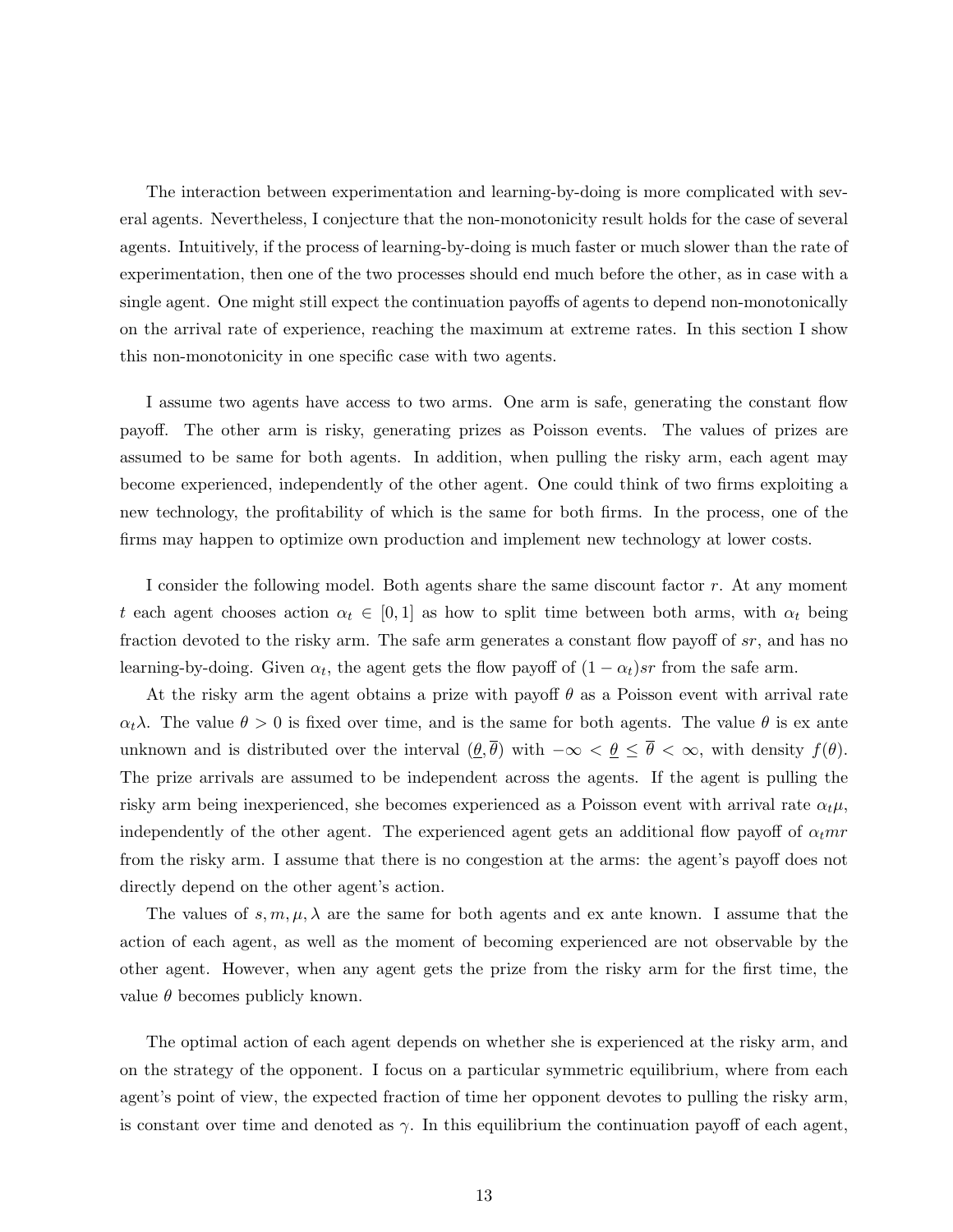The interaction between experimentation and learning-by-doing is more complicated with several agents. Nevertheless, I conjecture that the non-monotonicity result holds for the case of several agents. Intuitively, if the process of learning-by-doing is much faster or much slower than the rate of experimentation, then one of the two processes should end much before the other, as in case with a single agent. One might still expect the continuation payoffs of agents to depend non-monotonically on the arrival rate of experience, reaching the maximum at extreme rates. In this section I show this non-monotonicity in one specific case with two agents.

I assume two agents have access to two arms. One arm is safe, generating the constant flow payoff. The other arm is risky, generating prizes as Poisson events. The values of prizes are assumed to be same for both agents. In addition, when pulling the risky arm, each agent may become experienced, independently of the other agent. One could think of two firms exploiting a new technology, the profitability of which is the same for both firms. In the process, one of the firms may happen to optimize own production and implement new technology at lower costs.

I consider the following model. Both agents share the same discount factor r. At any moment t each agent chooses action  $\alpha_t \in [0,1]$  as how to split time between both arms, with  $\alpha_t$  being fraction devoted to the risky arm. The safe arm generates a constant flow payoff of sr, and has no learning-by-doing. Given  $\alpha_t$ , the agent gets the flow payoff of  $(1 - \alpha_t)sr$  from the safe arm.

At the risky arm the agent obtains a prize with payoff  $\theta$  as a Poisson event with arrival rate  $\alpha_t \lambda$ . The value  $\theta > 0$  is fixed over time, and is the same for both agents. The value  $\theta$  is ex ante unknown and is distributed over the interval  $(\underline{\theta}, \overline{\theta})$  with  $-\infty < \underline{\theta} \leq \overline{\theta} < \infty$ , with density  $f(\theta)$ . The prize arrivals are assumed to be independent across the agents. If the agent is pulling the risky arm being inexperienced, she becomes experienced as a Poisson event with arrival rate  $\alpha_t\mu$ , independently of the other agent. The experienced agent gets an additional flow payoff of  $\alpha_t m r$ from the risky arm. I assume that there is no congestion at the arms: the agent's payoff does not directly depend on the other agent's action.

The values of  $s, m, \mu, \lambda$  are the same for both agents and ex ante known. I assume that the action of each agent, as well as the moment of becoming experienced are not observable by the other agent. However, when any agent gets the prize from the risky arm for the first time, the value  $\theta$  becomes publicly known.

The optimal action of each agent depends on whether she is experienced at the risky arm, and on the strategy of the opponent. I focus on a particular symmetric equilibrium, where from each agent's point of view, the expected fraction of time her opponent devotes to pulling the risky arm, is constant over time and denoted as  $\gamma$ . In this equilibrium the continuation payoff of each agent,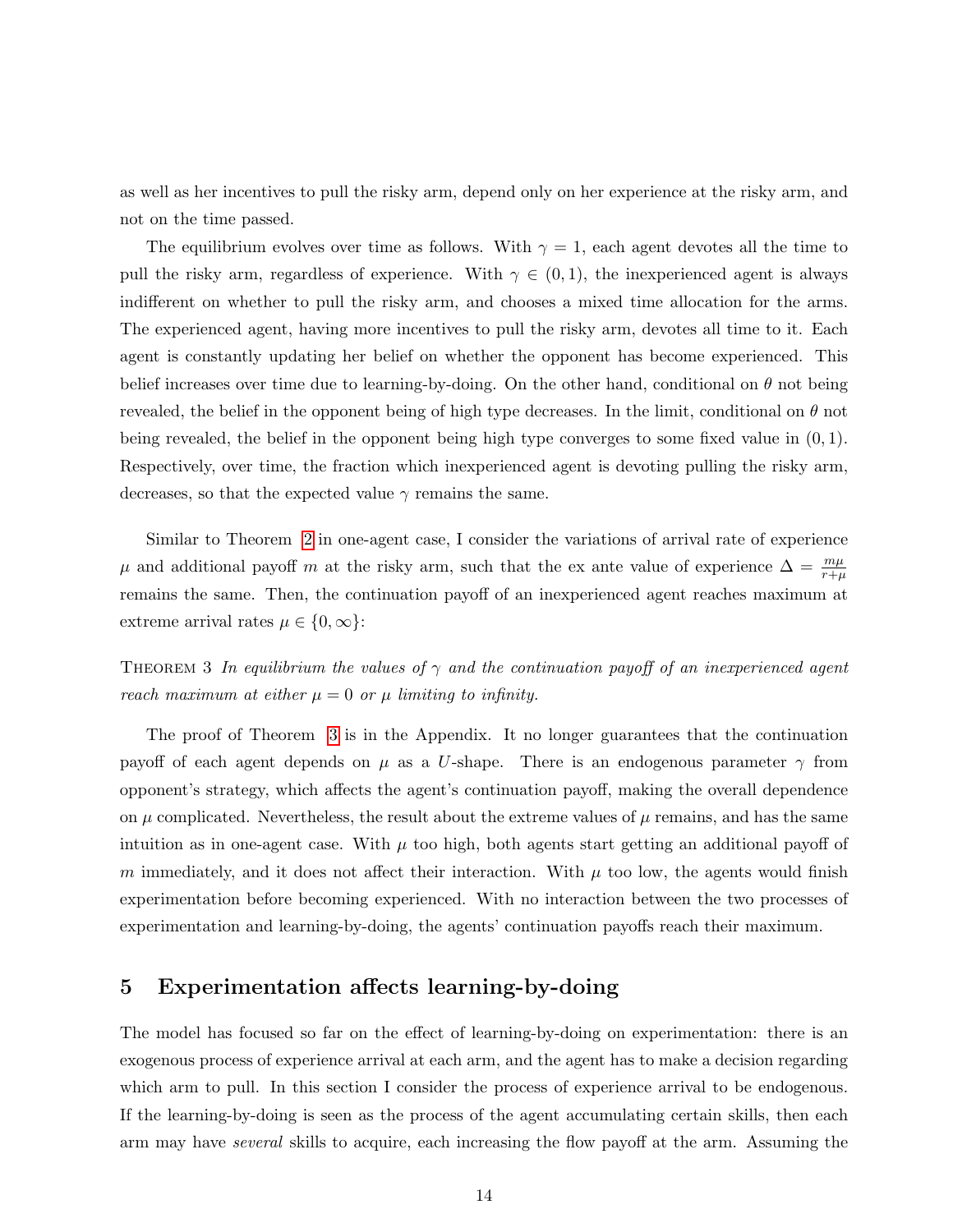as well as her incentives to pull the risky arm, depend only on her experience at the risky arm, and not on the time passed.

The equilibrium evolves over time as follows. With  $\gamma = 1$ , each agent devotes all the time to pull the risky arm, regardless of experience. With  $\gamma \in (0,1)$ , the inexperienced agent is always indifferent on whether to pull the risky arm, and chooses a mixed time allocation for the arms. The experienced agent, having more incentives to pull the risky arm, devotes all time to it. Each agent is constantly updating her belief on whether the opponent has become experienced. This belief increases over time due to learning-by-doing. On the other hand, conditional on  $\theta$  not being revealed, the belief in the opponent being of high type decreases. In the limit, conditional on  $\theta$  not being revealed, the belief in the opponent being high type converges to some fixed value in (0, 1). Respectively, over time, the fraction which inexperienced agent is devoting pulling the risky arm, decreases, so that the expected value  $\gamma$  remains the same.

Similar to Theorem [2](#page-12-0) in one-agent case, I consider the variations of arrival rate of experience  $\mu$  and additional payoff m at the risky arm, such that the ex ante value of experience  $\Delta = \frac{m\mu}{r+\mu}$ remains the same. Then, the continuation payoff of an inexperienced agent reaches maximum at extreme arrival rates  $\mu \in \{0, \infty\}$ :

<span id="page-14-0"></span>THEOREM 3 In equilibrium the values of  $\gamma$  and the continuation payoff of an inexperienced agent reach maximum at either  $\mu = 0$  or  $\mu$  limiting to infinity.

The proof of Theorem [3](#page-14-0) is in the Appendix. It no longer guarantees that the continuation payoff of each agent depends on  $\mu$  as a U-shape. There is an endogenous parameter  $\gamma$  from opponent's strategy, which affects the agent's continuation payoff, making the overall dependence on  $\mu$  complicated. Nevertheless, the result about the extreme values of  $\mu$  remains, and has the same intuition as in one-agent case. With  $\mu$  too high, both agents start getting an additional payoff of m immediately, and it does not affect their interaction. With  $\mu$  too low, the agents would finish experimentation before becoming experienced. With no interaction between the two processes of experimentation and learning-by-doing, the agents' continuation payoffs reach their maximum.

# 5 Experimentation affects learning-by-doing

The model has focused so far on the effect of learning-by-doing on experimentation: there is an exogenous process of experience arrival at each arm, and the agent has to make a decision regarding which arm to pull. In this section I consider the process of experience arrival to be endogenous. If the learning-by-doing is seen as the process of the agent accumulating certain skills, then each arm may have *several* skills to acquire, each increasing the flow payoff at the arm. Assuming the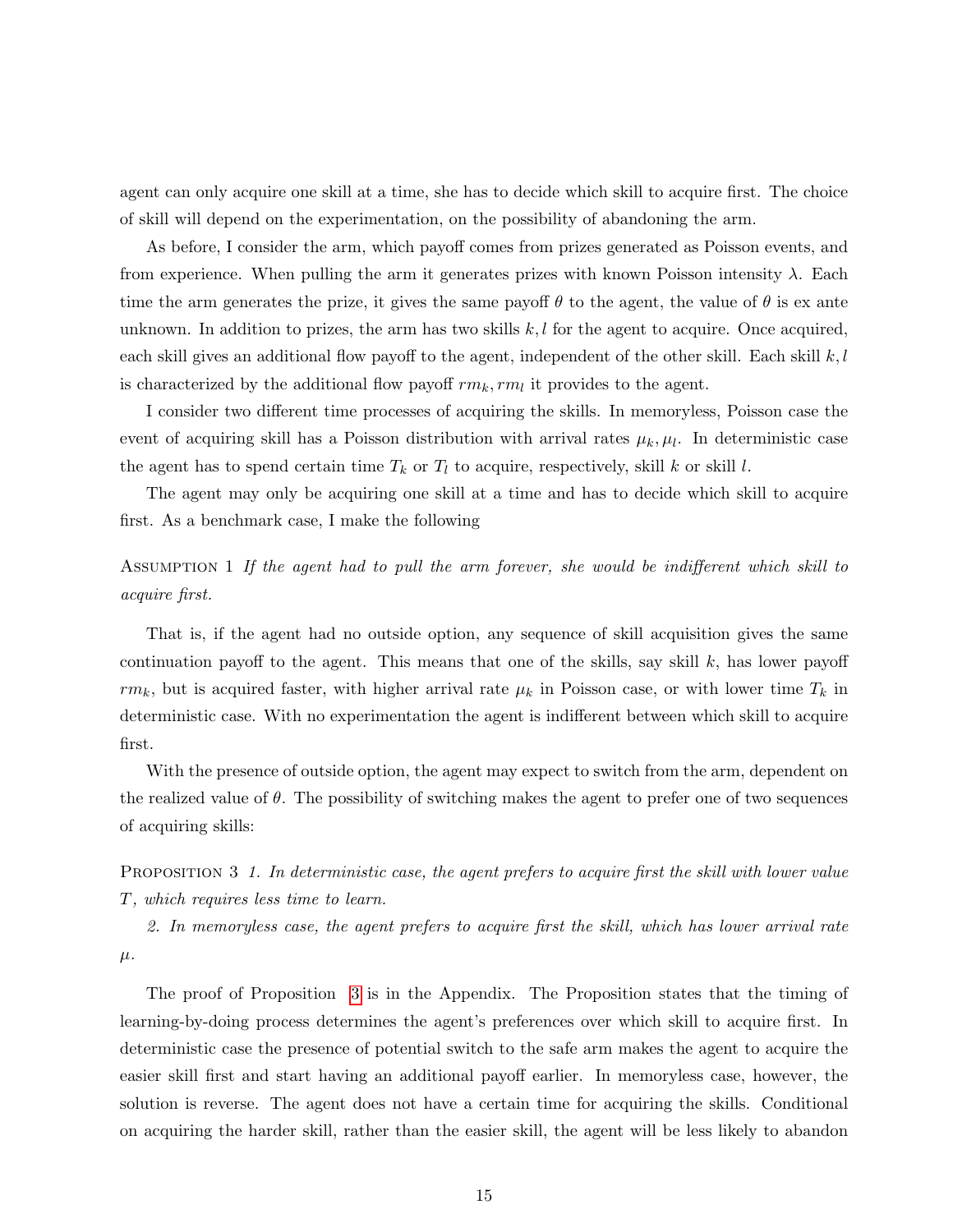agent can only acquire one skill at a time, she has to decide which skill to acquire first. The choice of skill will depend on the experimentation, on the possibility of abandoning the arm.

As before, I consider the arm, which payoff comes from prizes generated as Poisson events, and from experience. When pulling the arm it generates prizes with known Poisson intensity  $\lambda$ . Each time the arm generates the prize, it gives the same payoff  $\theta$  to the agent, the value of  $\theta$  is ex ante unknown. In addition to prizes, the arm has two skills  $k, l$  for the agent to acquire. Once acquired, each skill gives an additional flow payoff to the agent, independent of the other skill. Each skill  $k, l$ is characterized by the additional flow payoff  $rm_k, rm_l$  it provides to the agent.

I consider two different time processes of acquiring the skills. In memoryless, Poisson case the event of acquiring skill has a Poisson distribution with arrival rates  $\mu_k, \mu_l$ . In deterministic case the agent has to spend certain time  $T_k$  or  $T_l$  to acquire, respectively, skill k or skill l.

The agent may only be acquiring one skill at a time and has to decide which skill to acquire first. As a benchmark case, I make the following

# ASSUMPTION 1 If the agent had to pull the arm forever, she would be indifferent which skill to acquire first.

That is, if the agent had no outside option, any sequence of skill acquisition gives the same continuation payoff to the agent. This means that one of the skills, say skill  $k$ , has lower payoff  $rm_k$ , but is acquired faster, with higher arrival rate  $\mu_k$  in Poisson case, or with lower time  $T_k$  in deterministic case. With no experimentation the agent is indifferent between which skill to acquire first.

With the presence of outside option, the agent may expect to switch from the arm, dependent on the realized value of  $\theta$ . The possibility of switching makes the agent to prefer one of two sequences of acquiring skills:

<span id="page-15-0"></span>PROPOSITION 3 1. In deterministic case, the agent prefers to acquire first the skill with lower value T, which requires less time to learn.

2. In memoryless case, the agent prefers to acquire first the skill, which has lower arrival rate  $\mu$ .

The proof of Proposition [3](#page-15-0) is in the Appendix. The Proposition states that the timing of learning-by-doing process determines the agent's preferences over which skill to acquire first. In deterministic case the presence of potential switch to the safe arm makes the agent to acquire the easier skill first and start having an additional payoff earlier. In memoryless case, however, the solution is reverse. The agent does not have a certain time for acquiring the skills. Conditional on acquiring the harder skill, rather than the easier skill, the agent will be less likely to abandon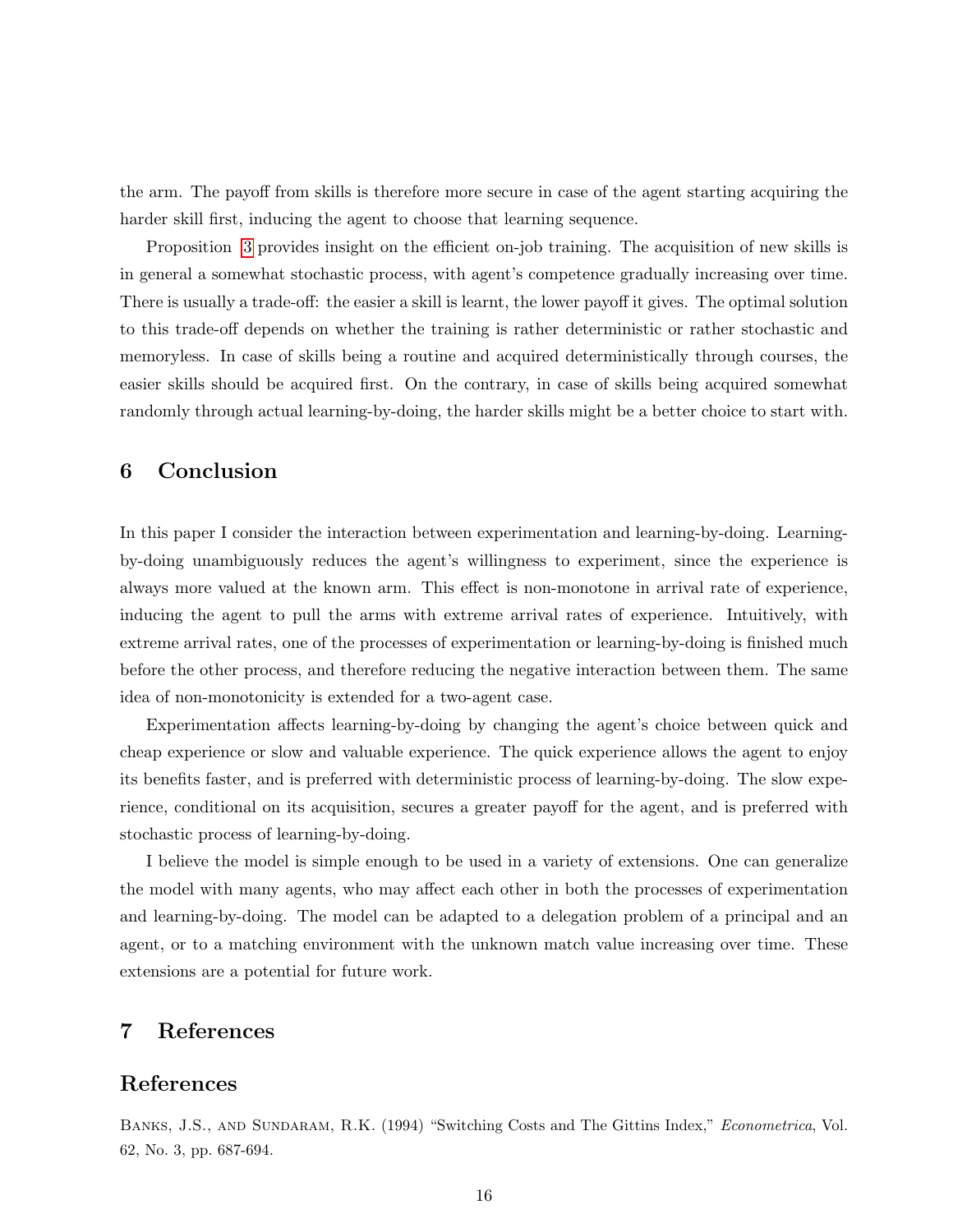the arm. The payoff from skills is therefore more secure in case of the agent starting acquiring the harder skill first, inducing the agent to choose that learning sequence.

Proposition [3](#page-15-0) provides insight on the efficient on-job training. The acquisition of new skills is in general a somewhat stochastic process, with agent's competence gradually increasing over time. There is usually a trade-off: the easier a skill is learnt, the lower payoff it gives. The optimal solution to this trade-off depends on whether the training is rather deterministic or rather stochastic and memoryless. In case of skills being a routine and acquired deterministically through courses, the easier skills should be acquired first. On the contrary, in case of skills being acquired somewhat randomly through actual learning-by-doing, the harder skills might be a better choice to start with.

# 6 Conclusion

In this paper I consider the interaction between experimentation and learning-by-doing. Learningby-doing unambiguously reduces the agent's willingness to experiment, since the experience is always more valued at the known arm. This effect is non-monotone in arrival rate of experience, inducing the agent to pull the arms with extreme arrival rates of experience. Intuitively, with extreme arrival rates, one of the processes of experimentation or learning-by-doing is finished much before the other process, and therefore reducing the negative interaction between them. The same idea of non-monotonicity is extended for a two-agent case.

Experimentation affects learning-by-doing by changing the agent's choice between quick and cheap experience or slow and valuable experience. The quick experience allows the agent to enjoy its benefits faster, and is preferred with deterministic process of learning-by-doing. The slow experience, conditional on its acquisition, secures a greater payoff for the agent, and is preferred with stochastic process of learning-by-doing.

I believe the model is simple enough to be used in a variety of extensions. One can generalize the model with many agents, who may affect each other in both the processes of experimentation and learning-by-doing. The model can be adapted to a delegation problem of a principal and an agent, or to a matching environment with the unknown match value increasing over time. These extensions are a potential for future work.

# 7 References

### References

BANKS, J.S., AND SUNDARAM, R.K. (1994) "Switching Costs and The Gittins Index," Econometrica, Vol. 62, No. 3, pp. 687-694.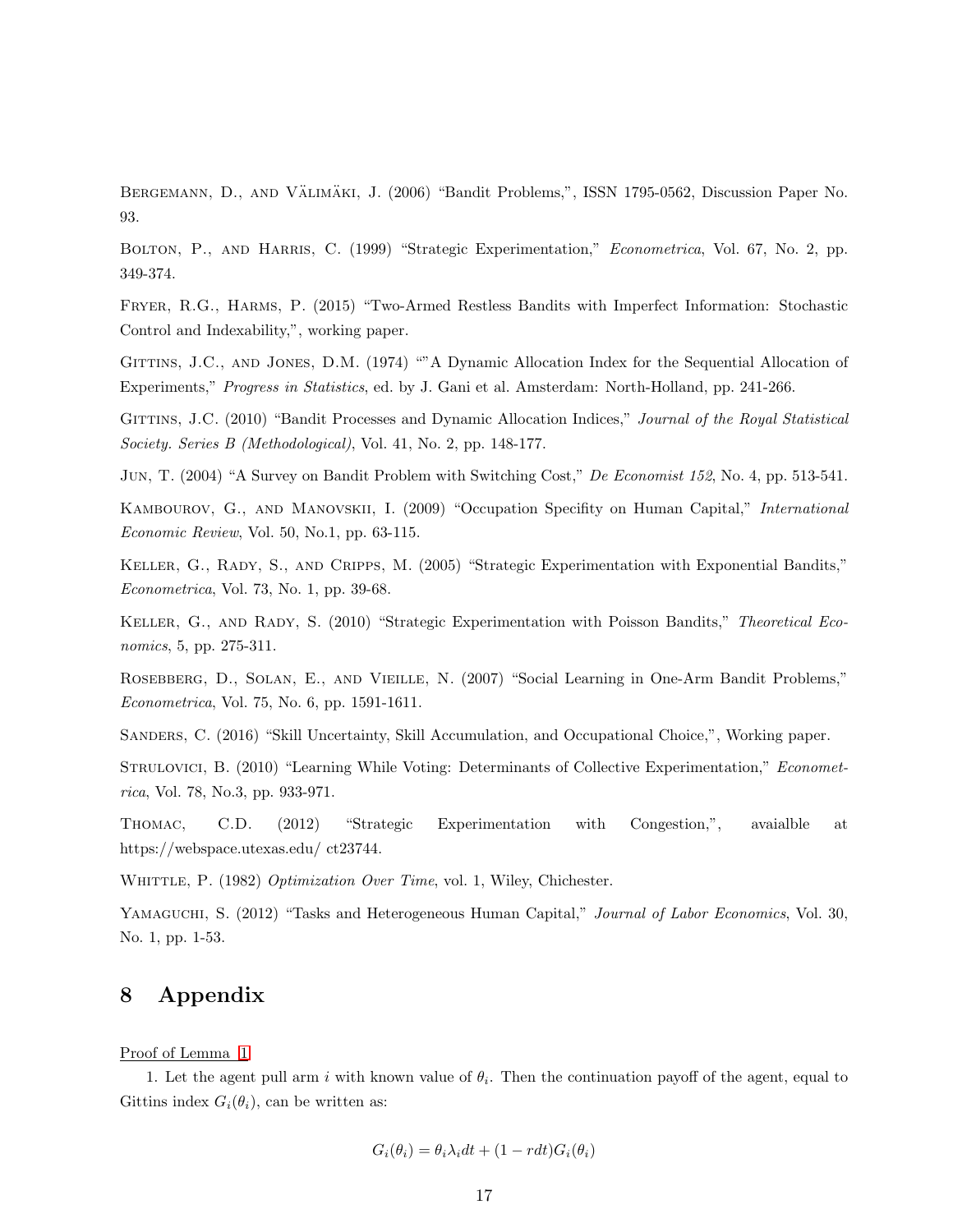BERGEMANN, D., AND VÄLIMÄKI, J. (2006) "Bandit Problems,", ISSN 1795-0562, Discussion Paper No. 93.

BOLTON, P., AND HARRIS, C. (1999) "Strategic Experimentation," *Econometrica*, Vol. 67, No. 2, pp. 349-374.

Fryer, R.G., Harms, P. (2015) "Two-Armed Restless Bandits with Imperfect Information: Stochastic Control and Indexability,", working paper.

GITTINS, J.C., AND JONES, D.M. (1974) ""A Dynamic Allocation Index for the Sequential Allocation of Experiments," Progress in Statistics, ed. by J. Gani et al. Amsterdam: North-Holland, pp. 241-266.

GITTINS, J.C. (2010) "Bandit Processes and Dynamic Allocation Indices," Journal of the Royal Statistical Society. Series B (Methodological), Vol. 41, No. 2, pp. 148-177.

Jun, T. (2004) "A Survey on Bandit Problem with Switching Cost," De Economist 152, No. 4, pp. 513-541.

Kambourov, G., and Manovskii, I. (2009) "Occupation Specifity on Human Capital," International Economic Review, Vol. 50, No.1, pp. 63-115.

Keller, G., Rady, S., and Cripps, M. (2005) "Strategic Experimentation with Exponential Bandits," Econometrica, Vol. 73, No. 1, pp. 39-68.

KELLER, G., AND RADY, S. (2010) "Strategic Experimentation with Poisson Bandits," Theoretical Economics, 5, pp. 275-311.

Rosebberg, D., Solan, E., and Vieille, N. (2007) "Social Learning in One-Arm Bandit Problems," Econometrica, Vol. 75, No. 6, pp. 1591-1611.

Sanders, C. (2016) "Skill Uncertainty, Skill Accumulation, and Occupational Choice,", Working paper.

STRULOVICI, B. (2010) "Learning While Voting: Determinants of Collective Experimentation," Econometrica, Vol. 78, No.3, pp. 933-971.

Thomac, C.D. (2012) "Strategic Experimentation with Congestion,", avaialble at https://webspace.utexas.edu/ ct23744.

WHITTLE, P. (1982) Optimization Over Time, vol. 1, Wiley, Chichester.

YAMAGUCHI, S. (2012) "Tasks and Heterogeneous Human Capital," Journal of Labor Economics, Vol. 30, No. 1, pp. 1-53.

# 8 Appendix

Proof of Lemma [1](#page-9-0)

1. Let the agent pull arm i with known value of  $\theta_i$ . Then the continuation payoff of the agent, equal to Gittins index  $G_i(\theta_i)$ , can be written as:

$$
G_i(\theta_i) = \theta_i \lambda_i dt + (1 - r dt) G_i(\theta_i)
$$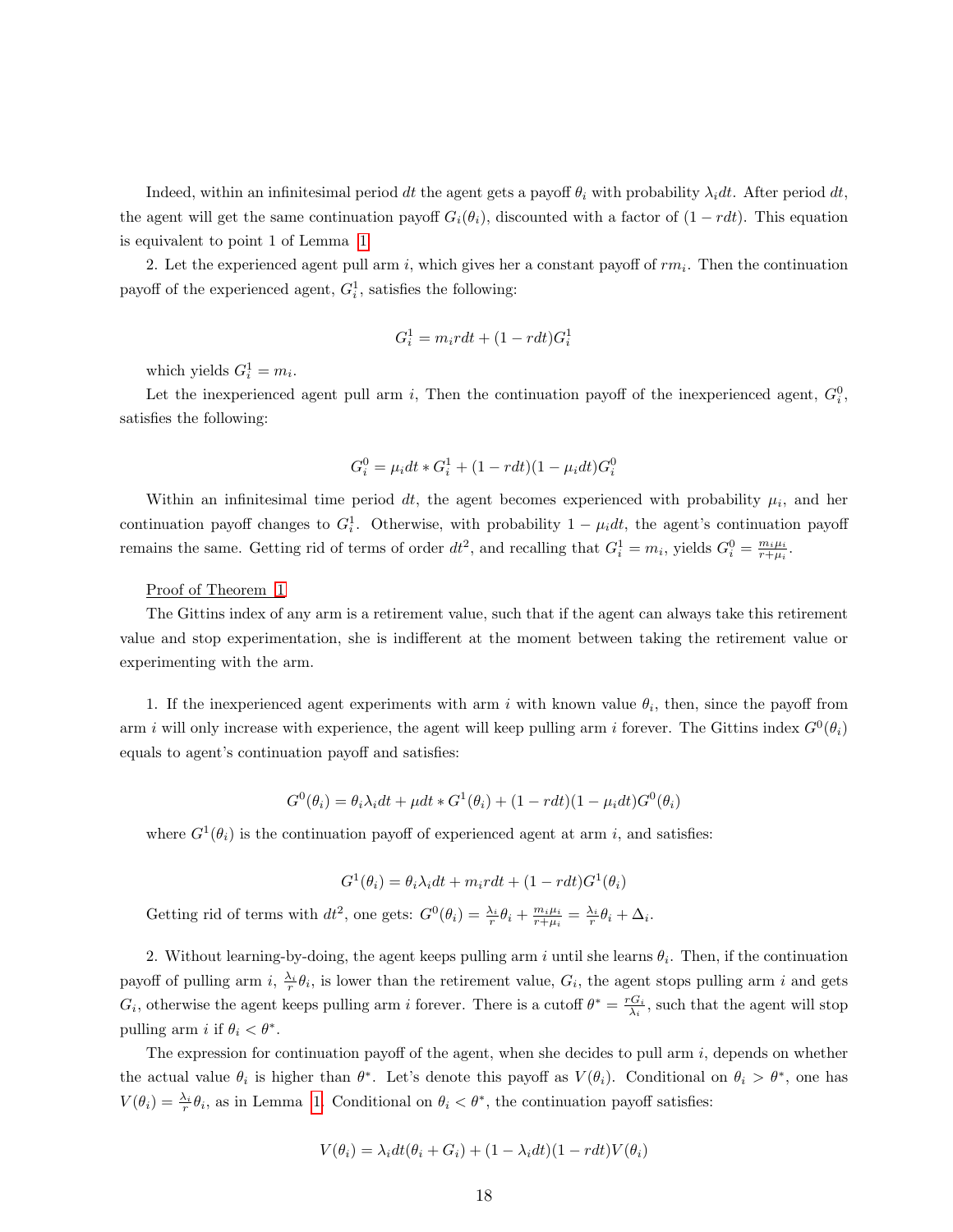Indeed, within an infinitesimal period dt the agent gets a payoff  $\theta_i$  with probability  $\lambda_i dt$ . After period dt, the agent will get the same continuation payoff  $G_i(\theta_i)$ , discounted with a factor of  $(1 - rdt)$ . This equation is equivalent to point 1 of Lemma [1](#page-9-0)

2. Let the experienced agent pull arm i, which gives her a constant payoff of  $rm_i$ . Then the continuation payoff of the experienced agent,  $G_i^1$ , satisfies the following:

$$
G_i^1 = m_i r dt + (1 - r dt) G_i^1
$$

which yields  $G_i^1 = m_i$ .

Let the inexperienced agent pull arm i, Then the continuation payoff of the inexperienced agent,  $G_i^0$ , satisfies the following:

$$
G_i^0 = \mu_i dt * G_i^1 + (1 - r dt)(1 - \mu_i dt) G_i^0
$$

Within an infinitesimal time period dt, the agent becomes experienced with probability  $\mu_i$ , and her continuation payoff changes to  $G_i^1$ . Otherwise, with probability  $1 - \mu_i dt$ , the agent's continuation payoff remains the same. Getting rid of terms of order  $dt^2$ , and recalling that  $G_i^1 = m_i$ , yields  $G_i^0 = \frac{m_i \mu_i}{r + \mu_i}$ .

#### Proof of Theorem [1](#page-10-0)

The Gittins index of any arm is a retirement value, such that if the agent can always take this retirement value and stop experimentation, she is indifferent at the moment between taking the retirement value or experimenting with the arm.

1. If the inexperienced agent experiments with arm i with known value  $\theta_i$ , then, since the payoff from arm i will only increase with experience, the agent will keep pulling arm i forever. The Gittins index  $G^0(\theta_i)$ equals to agent's continuation payoff and satisfies:

$$
G^{0}(\theta_{i}) = \theta_{i} \lambda_{i} dt + \mu dt * G^{1}(\theta_{i}) + (1 - r dt)(1 - \mu_{i} dt)G^{0}(\theta_{i})
$$

where  $G^1(\theta_i)$  is the continuation payoff of experienced agent at arm i, and satisfies:

$$
G^{1}(\theta_{i}) = \theta_{i} \lambda_{i} dt + m_{i} r dt + (1 - r dt) G^{1}(\theta_{i})
$$

Getting rid of terms with  $dt^2$ , one gets:  $G^0(\theta_i) = \frac{\lambda_i}{r} \theta_i + \frac{m_i \mu_i}{r + \mu_i} = \frac{\lambda_i}{r} \theta_i + \Delta_i$ .

2. Without learning-by-doing, the agent keeps pulling arm i until she learns  $\theta_i$ . Then, if the continuation payoff of pulling arm i,  $\frac{\lambda_i}{r} \theta_i$ , is lower than the retirement value,  $G_i$ , the agent stops pulling arm i and gets  $G_i$ , otherwise the agent keeps pulling arm i forever. There is a cutoff  $\theta^* = \frac{rG_i}{\lambda_i}$ , such that the agent will stop pulling arm *i* if  $\theta_i < \theta^*$ .

The expression for continuation payoff of the agent, when she decides to pull arm  $i$ , depends on whether the actual value  $\theta_i$  is higher than  $\theta^*$ . Let's denote this payoff as  $V(\theta_i)$ . Conditional on  $\theta_i > \theta^*$ , one has  $V(\theta_i) = \frac{\lambda_i}{r} \theta_i$ , as in Lemma [1.](#page-9-0) Conditional on  $\theta_i < \theta^*$ , the continuation payoff satisfies:

$$
V(\theta_i) = \lambda_i dt (\theta_i + G_i) + (1 - \lambda_i dt)(1 - r dt)V(\theta_i)
$$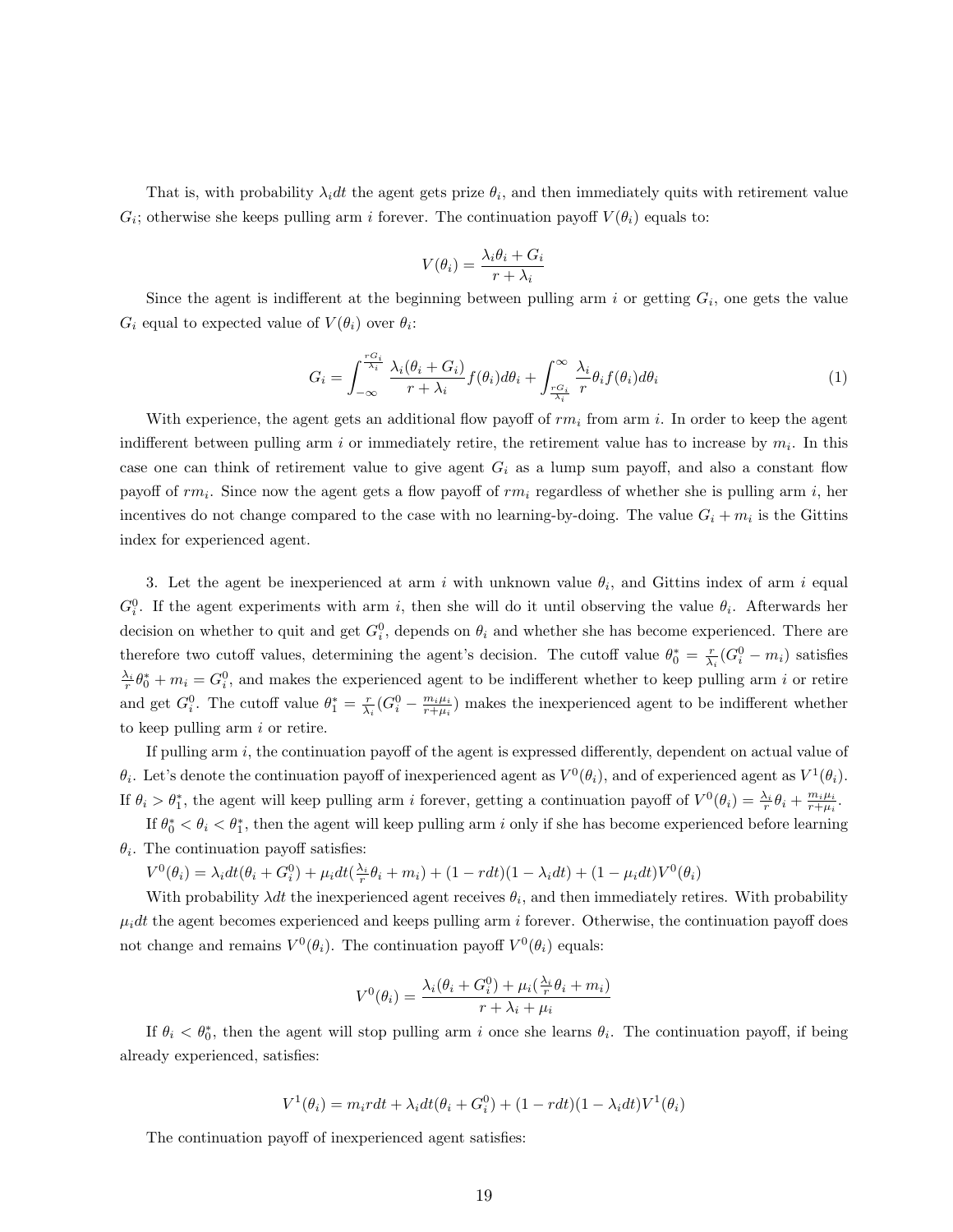That is, with probability  $\lambda_i dt$  the agent gets prize  $\theta_i$ , and then immediately quits with retirement value  $G_i$ ; otherwise she keeps pulling arm i forever. The continuation payoff  $V(\theta_i)$  equals to:

$$
V(\theta_i) = \frac{\lambda_i \theta_i + G_i}{r + \lambda_i}
$$

<span id="page-19-0"></span>Since the agent is indifferent at the beginning between pulling arm i or getting  $G_i$ , one gets the value  $G_i$  equal to expected value of  $V(\theta_i)$  over  $\theta_i$ :

$$
G_i = \int_{-\infty}^{\frac{rG_i}{\lambda_i}} \frac{\lambda_i(\theta_i + G_i)}{r + \lambda_i} f(\theta_i) d\theta_i + \int_{\frac{rG_i}{\lambda_i}}^{\infty} \frac{\lambda_i}{r} \theta_i f(\theta_i) d\theta_i
$$
 (1)

With experience, the agent gets an additional flow payoff of  $rm_i$  from arm i. In order to keep the agent indifferent between pulling arm i or immediately retire, the retirement value has to increase by  $m_i$ . In this case one can think of retirement value to give agent  $G_i$  as a lump sum payoff, and also a constant flow payoff of  $rm_i$ . Since now the agent gets a flow payoff of  $rm_i$  regardless of whether she is pulling arm i, her incentives do not change compared to the case with no learning-by-doing. The value  $G_i + m_i$  is the Gittins index for experienced agent.

3. Let the agent be inexperienced at arm i with unknown value  $\theta_i$ , and Gittins index of arm i equal  $G_i^0$ . If the agent experiments with arm i, then she will do it until observing the value  $\theta_i$ . Afterwards her decision on whether to quit and get  $G_i^0$ , depends on  $\theta_i$  and whether she has become experienced. There are therefore two cutoff values, determining the agent's decision. The cutoff value  $\theta_0^* = \frac{r}{\lambda_i} (G_i^0 - m_i)$  satisfies  $\frac{\lambda_i}{r}\theta_0^* + m_i = G_i^0$ , and makes the experienced agent to be indifferent whether to keep pulling arm i or retire and get  $G_i^0$ . The cutoff value  $\theta_1^* = \frac{r}{\lambda_i} (G_i^0 - \frac{m_i \mu_i}{r + \mu_i})$  makes the inexperienced agent to be indifferent whether to keep pulling arm  $i$  or retire.

If pulling arm i, the continuation payoff of the agent is expressed differently, dependent on actual value of  $\theta_i$ . Let's denote the continuation payoff of inexperienced agent as  $V^0(\theta_i)$ , and of experienced agent as  $V^1(\theta_i)$ . If  $\theta_i > \theta_1^*$ , the agent will keep pulling arm i forever, getting a continuation payoff of  $V^0(\theta_i) = \frac{\lambda_i}{r} \theta_i + \frac{m_i \mu_i}{r + \mu_i}$ .

If  $\theta_0^* < \theta_i < \theta_1^*$ , then the agent will keep pulling arm i only if she has become experienced before learning  $\theta_i$ . The continuation payoff satisfies:

 $V^0(\theta_i) = \lambda_i dt (\theta_i + G_i^0) + \mu_i dt (\frac{\lambda_i}{r} \theta_i + m_i) + (1 - r dt)(1 - \lambda_i dt) + (1 - \mu_i dt) V^0(\theta_i)$ 

With probability  $\lambda dt$  the inexperienced agent receives  $\theta_i$ , and then immediately retires. With probability  $\mu_i dt$  the agent becomes experienced and keeps pulling arm i forever. Otherwise, the continuation payoff does not change and remains  $V^0(\theta_i)$ . The continuation payoff  $V^0(\theta_i)$  equals:

$$
V^{0}(\theta_{i}) = \frac{\lambda_{i}(\theta_{i} + G^{0}_{i}) + \mu_{i}(\frac{\lambda_{i}}{r}\theta_{i} + m_{i})}{r + \lambda_{i} + \mu_{i}}
$$

If  $\theta_i < \theta_0^*$ , then the agent will stop pulling arm i once she learns  $\theta_i$ . The continuation payoff, if being already experienced, satisfies:

$$
V^1(\theta_i) = m_i r dt + \lambda_i dt (\theta_i + G_i^0) + (1 - r dt)(1 - \lambda_i dt) V^1(\theta_i)
$$

The continuation payoff of inexperienced agent satisfies: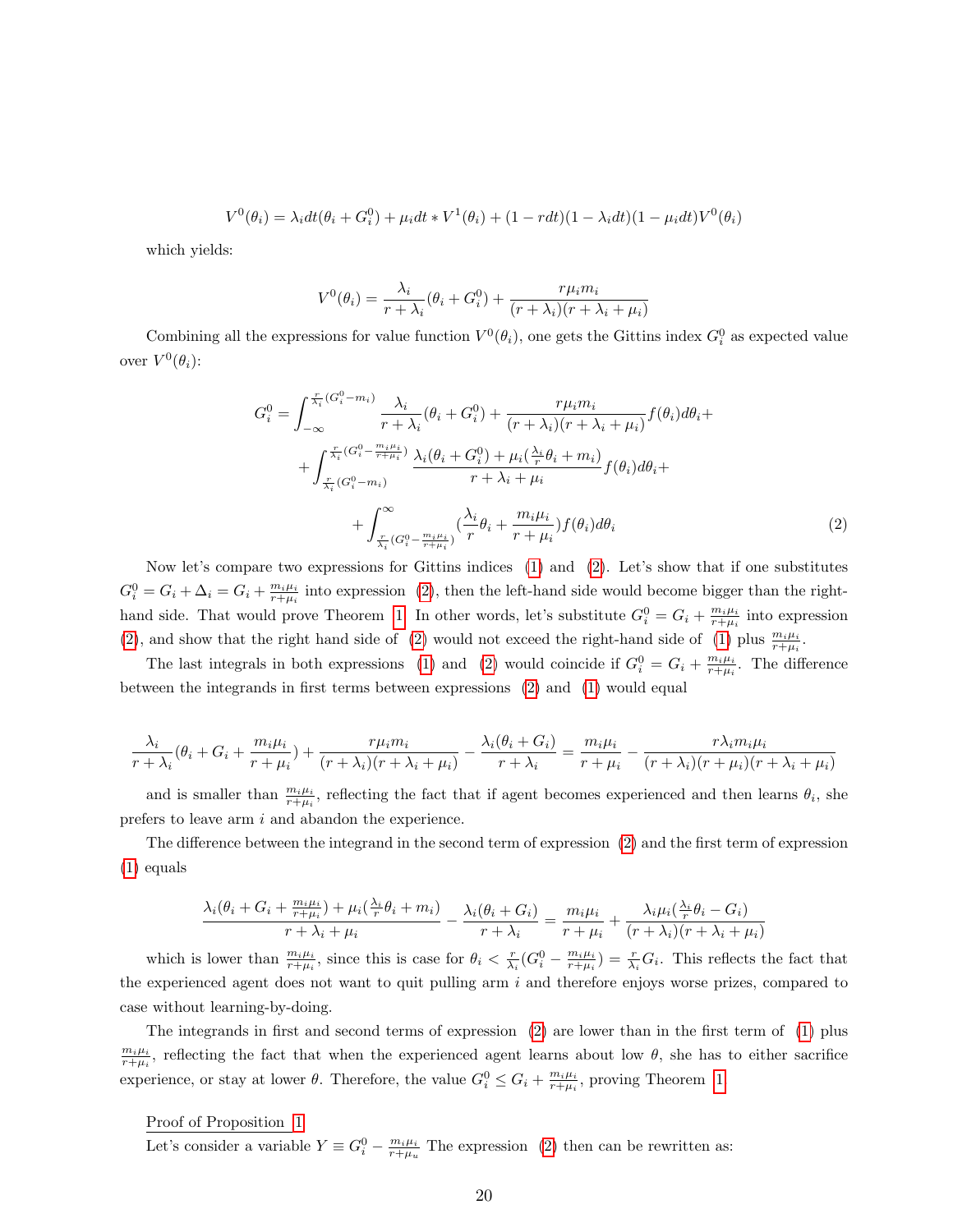$$
V^{0}(\theta_{i}) = \lambda_{i}dt(\theta_{i} + G_{i}^{0}) + \mu_{i}dt * V^{1}(\theta_{i}) + (1 - rdt)(1 - \lambda_{i}dt)(1 - \mu_{i}dt)V^{0}(\theta_{i})
$$

which yields:

$$
V^{0}(\theta_{i}) = \frac{\lambda_{i}}{r + \lambda_{i}} (\theta_{i} + G^{0}_{i}) + \frac{r\mu_{i}m_{i}}{(r + \lambda_{i})(r + \lambda_{i} + \mu_{i})}
$$

Combining all the expressions for value function  $V^0(\theta_i)$ , one gets the Gittins index  $G_i^0$  as expected value over  $V^0(\theta_i)$ :

$$
G_i^0 = \int_{-\infty}^{\frac{r}{\lambda_i}(G_i^0 - m_i)} \frac{\lambda_i}{r + \lambda_i} (\theta_i + G_i^0) + \frac{r\mu_i m_i}{(r + \lambda_i)(r + \lambda_i + \mu_i)} f(\theta_i) d\theta_i +
$$
  
+ 
$$
\int_{\frac{r}{\lambda_i}(G_i^0 - m_i)}^{\frac{r}{\lambda_i}(G_i^0 - m_i + \mu_i)} \frac{\lambda_i(\theta_i + G_i^0) + \mu_i(\frac{\lambda_i}{r}\theta_i + m_i)}{r + \lambda_i + \mu_i} f(\theta_i) d\theta_i +
$$
  
+ 
$$
\int_{\frac{r}{\lambda_i}(G_i^0 - \frac{m_i\mu_i}{r + \mu_i})}^{\infty} (\frac{\lambda_i}{r}\theta_i + \frac{m_i\mu_i}{r + \mu_i}) f(\theta_i) d\theta_i
$$
(2)

<span id="page-20-0"></span>Now let's compare two expressions for Gittins indices [\(1\)](#page-19-0) and [\(2\)](#page-20-0). Let's show that if one substitutes  $G_i^0 = G_i + \Delta_i = G_i + \frac{m_i \mu_i}{r + \mu_i}$  into expression [\(2\)](#page-20-0), then the left-hand side would become bigger than the right-hand side. That would prove Theorem [1.](#page-10-0) In other words, let's substitute  $G_i^0 = G_i + \frac{m_i \mu_i}{r+\mu_i}$  into expression [\(2\)](#page-20-0), and show that the right hand side of (2) would not exceed the right-hand side of [\(1\)](#page-19-0) plus  $\frac{m_i\mu_i}{r+\mu_i}$ .

The last integrals in both expressions [\(1\)](#page-19-0) and [\(2\)](#page-20-0) would coincide if  $G_i^0 = G_i + \frac{m_i \mu_i}{r+\mu_i}$ . The difference between the integrands in first terms between expressions [\(2\)](#page-20-0) and [\(1\)](#page-19-0) would equal

$$
\frac{\lambda_i}{r+\lambda_i}(\theta_i+G_i+\frac{m_i\mu_i}{r+\mu_i})+\frac{r\mu_i m_i}{(r+\lambda_i)(r+\lambda_i+\mu_i)}-\frac{\lambda_i(\theta_i+G_i)}{r+\lambda_i}=\frac{m_i\mu_i}{r+\mu_i}-\frac{r\lambda_i m_i\mu_i}{(r+\lambda_i)(r+\mu_i)(r+\lambda_i+\mu_i)}
$$

and is smaller than  $\frac{m_i\mu_i}{r+\mu_i}$ , reflecting the fact that if agent becomes experienced and then learns  $\theta_i$ , she prefers to leave arm  $i$  and abandon the experience.

The difference between the integrand in the second term of expression [\(2\)](#page-20-0) and the first term of expression [\(1\)](#page-19-0) equals

$$
\frac{\lambda_i(\theta_i+G_i+\frac{m_i\mu_i}{r+\mu_i})+\mu_i(\frac{\lambda_i}{r}\theta_i+m_i)}{r+\lambda_i+\mu_i}-\frac{\lambda_i(\theta_i+G_i)}{r+\lambda_i}=\frac{m_i\mu_i}{r+\mu_i}+\frac{\lambda_i\mu_i(\frac{\lambda_i}{r}\theta_i-G_i)}{(r+\lambda_i)(r+\lambda_i+\mu_i)}
$$

which is lower than  $\frac{m_i\mu_i}{r+\mu_i}$ , since this is case for  $\theta_i < \frac{r}{\lambda_i}(G_i^0 - \frac{m_i\mu_i}{r+\mu_i}) = \frac{r}{\lambda_i}G_i$ . This reflects the fact that the experienced agent does not want to quit pulling arm  $i$  and therefore enjoys worse prizes, compared to case without learning-by-doing.

The integrands in first and second terms of expression [\(2\)](#page-20-0) are lower than in the first term of [\(1\)](#page-19-0) plus  $\frac{m_i\mu_i}{r+\mu_i}$ , reflecting the fact that when the experienced agent learns about low  $\theta$ , she has to either sacrifice experience, or stay at lower  $\theta$ . Therefore, the value  $G_i^0 \leq G_i + \frac{m_i \mu_i}{r+\mu_i}$ , proving Theorem [1.](#page-10-0)

Proof of Proposition [1](#page-11-0)

Let's consider a variable  $Y \equiv G_i^0 - \frac{m_i \mu_i}{r + \mu_u}$  The expression [\(2\)](#page-20-0) then can be rewritten as: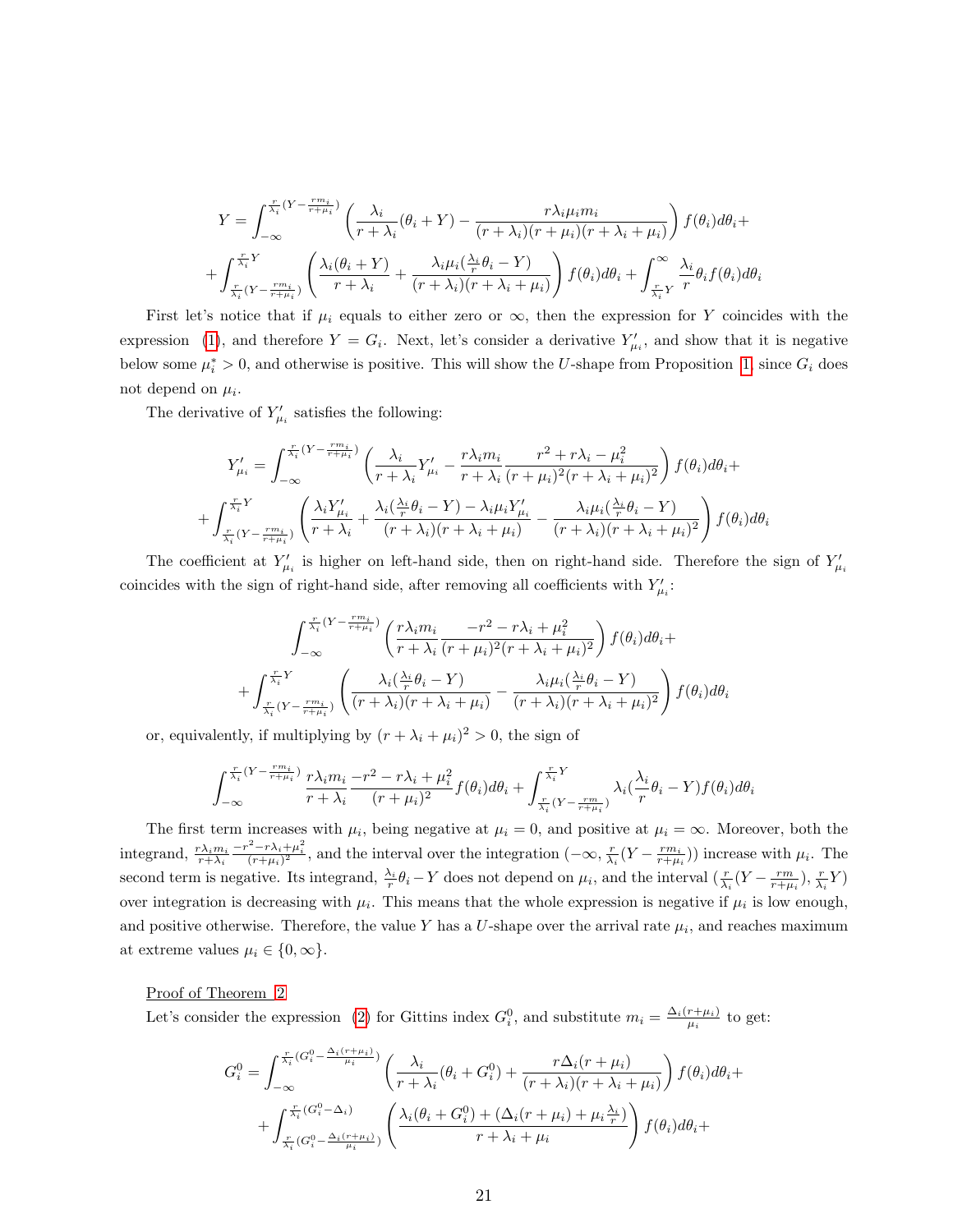$$
Y = \int_{-\infty}^{\frac{r}{\lambda_i}(Y - \frac{rm_i}{r + \mu_i})} \left( \frac{\lambda_i}{r + \lambda_i} (\theta_i + Y) - \frac{r\lambda_i \mu_i m_i}{(r + \lambda_i)(r + \mu_i)(r + \lambda_i + \mu_i)} \right) f(\theta_i) d\theta_i +
$$
  
+ 
$$
\int_{\frac{r}{\lambda_i}(Y - \frac{rm_i}{r + \mu_i})}^{\frac{r}{\lambda_i}Y} \left( \frac{\lambda_i(\theta_i + Y)}{r + \lambda_i} + \frac{\lambda_i \mu_i(\frac{\lambda_i}{r}\theta_i - Y)}{(r + \lambda_i)(r + \lambda_i + \mu_i)} \right) f(\theta_i) d\theta_i + \int_{\frac{r}{\lambda_i}Y}^{\infty} \frac{\lambda_i}{r} \theta_i f(\theta_i) d\theta_i
$$

First let's notice that if  $\mu_i$  equals to either zero or  $\infty$ , then the expression for Y coincides with the expression [\(1\)](#page-19-0), and therefore  $Y = G_i$ . Next, let's consider a derivative  $Y'_{\mu_i}$ , and show that it is negative below some  $\mu_i^* > 0$ , and otherwise is positive. This will show the U-shape from Proposition [1,](#page-11-0) since  $G_i$  does not depend on  $\mu_i$ .

The derivative of  $Y'_{\mu_i}$  satisfies the following:

$$
Y'_{\mu_i} = \int_{-\infty}^{\frac{r}{\lambda_i} (Y - \frac{rm_i}{r + \mu_i})} \left( \frac{\lambda_i}{r + \lambda_i} Y'_{\mu_i} - \frac{r\lambda_i m_i}{r + \lambda_i} \frac{r^2 + r\lambda_i - \mu_i^2}{(r + \mu_i)^2 (r + \lambda_i + \mu_i)^2} \right) f(\theta_i) d\theta_i +
$$
  
+ 
$$
\int_{\frac{r}{\lambda_i} (Y - \frac{rm_i}{r + \mu_i})}^{\frac{r}{\lambda_i} Y} \left( \frac{\lambda_i Y'_{\mu_i}}{r + \lambda_i} + \frac{\lambda_i (\frac{\lambda_i}{r} \theta_i - Y) - \lambda_i \mu_i Y'_{\mu_i}}{(r + \lambda_i)(r + \lambda_i + \mu_i)} - \frac{\lambda_i \mu_i (\frac{\lambda_i}{r} \theta_i - Y)}{(r + \lambda_i)(r + \lambda_i + \mu_i)^2} \right) f(\theta_i) d\theta_i
$$

The coefficient at  $Y'_{\mu_i}$  is higher on left-hand side, then on right-hand side. Therefore the sign of  $Y'_{\mu_i}$ coincides with the sign of right-hand side, after removing all coefficients with  $Y'_{\mu_i}$ :

$$
\int_{-\infty}^{\frac{r}{\lambda_i}(Y - \frac{rm_i}{r + \mu_i})} \left(\frac{r\lambda_i m_i}{r + \lambda_i} \frac{-r^2 - r\lambda_i + \mu_i^2}{(r + \mu_i)^2 (r + \lambda_i + \mu_i)^2}\right) f(\theta_i) d\theta_i +
$$

$$
+ \int_{\frac{r}{\lambda_i}(Y - \frac{rm_i}{r + \mu_i})}^{\frac{r}{\lambda_i}Y} \left(\frac{\lambda_i(\frac{\lambda_i}{r}\theta_i - Y)}{(r + \lambda_i)(r + \lambda_i + \mu_i)} - \frac{\lambda_i \mu_i(\frac{\lambda_i}{r}\theta_i - Y)}{(r + \lambda_i)(r + \lambda_i + \mu_i)^2}\right) f(\theta_i) d\theta_i
$$

or, equivalently, if multiplying by  $(r + \lambda_i + \mu_i)^2 > 0$ , the sign of

$$
\int_{-\infty}^{\frac{r}{\lambda_i}(Y-\frac{rm_i}{r+\mu_i})} \frac{r\lambda_i m_i}{r+\lambda_i} \frac{-r^2 - r\lambda_i + \mu_i^2}{(r+\mu_i)^2} f(\theta_i) d\theta_i + \int_{\frac{r}{\lambda_i}(Y-\frac{rm}{r+\mu_i})}^{\frac{r}{\lambda_i}Y} \lambda_i(\frac{\lambda_i}{r}\theta_i - Y) f(\theta_i) d\theta_i
$$

The first term increases with  $\mu_i$ , being negative at  $\mu_i = 0$ , and positive at  $\mu_i = \infty$ . Moreover, both the integrand,  $\frac{r\lambda_i m_i}{r+\lambda_i}$  $\frac{-r^2-r\lambda_i+\mu_i^2}{(r+\mu_i)^2}$ , and the interval over the integration  $(-\infty, \frac{r}{\lambda_i}(Y-\frac{rm_i}{r+\mu_i}))$  increase with  $\mu_i$ . The second term is negative. Its integrand,  $\frac{\lambda_i}{r} \theta_i - Y$  does not depend on  $\mu_i$ , and the interval  $(\frac{r}{\lambda_i}(Y - \frac{rm}{r+\mu_i}), \frac{r}{\lambda_i}Y)$ over integration is decreasing with  $\mu_i$ . This means that the whole expression is negative if  $\mu_i$  is low enough, and positive otherwise. Therefore, the value Y has a U-shape over the arrival rate  $\mu_i$ , and reaches maximum at extreme values  $\mu_i \in \{0, \infty\}.$ 

Proof of Theorem [2](#page-12-0)

Let's consider the expression [\(2\)](#page-20-0) for Gittins index  $G_i^0$ , and substitute  $m_i = \frac{\Delta_i(r+\mu_i)}{\mu_i}$  $\frac{r+\mu_i}{\mu_i}$  to get:

$$
G_i^0 = \int_{-\infty}^{\frac{r}{\lambda_i}(G_i^0 - \frac{\Delta_i(r + \mu_i)}{\mu_i})} \left(\frac{\lambda_i}{r + \lambda_i}(\theta_i + G_i^0) + \frac{r\Delta_i(r + \mu_i)}{(r + \lambda_i)(r + \lambda_i + \mu_i)}\right) f(\theta_i) d\theta_i +
$$
  
+ 
$$
\int_{\frac{r}{\lambda_i}(G_i^0 - \frac{\Delta_i(r + \mu_i)}{\mu_i})}^{\frac{r}{\lambda_i}(G_i^0 - \Delta_i)} \left(\frac{\lambda_i(\theta_i + G_i^0) + (\Delta_i(r + \mu_i) + \mu_i \frac{\lambda_i}{r})}{r + \lambda_i + \mu_i}\right) f(\theta_i) d\theta_i +
$$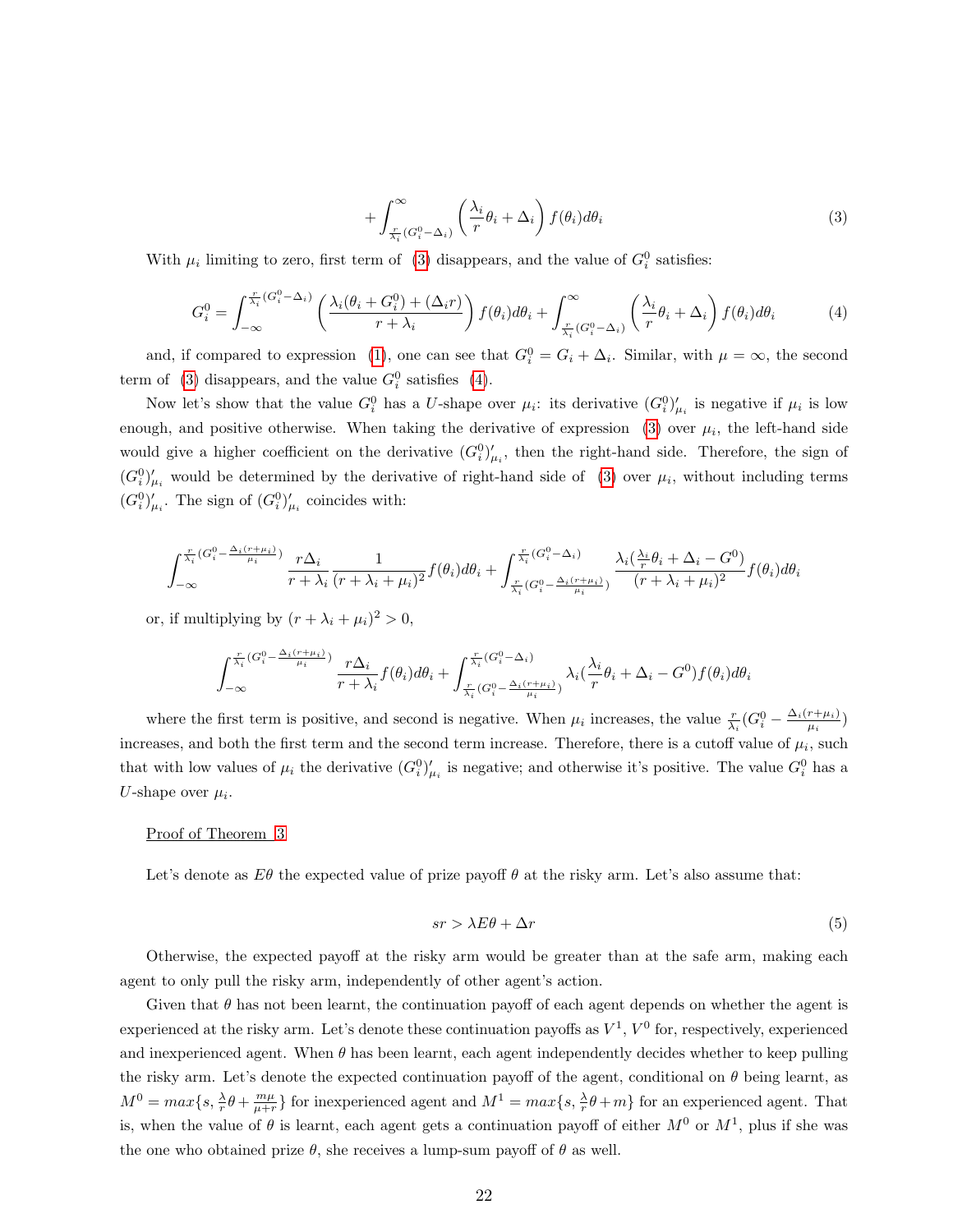$$
+\int_{\frac{r}{\lambda_i}(G_i^0-\Delta_i)}^{\infty}\left(\frac{\lambda_i}{r}\theta_i+\Delta_i\right)f(\theta_i)d\theta_i\tag{3}
$$

<span id="page-22-1"></span><span id="page-22-0"></span>With  $\mu_i$  limiting to zero, first term of [\(3\)](#page-22-0) disappears, and the value of  $G_i^0$  satisfies:

$$
G_i^0 = \int_{-\infty}^{\frac{r}{\lambda_i}(G_i^0 - \Delta_i)} \left( \frac{\lambda_i(\theta_i + G_i^0) + (\Delta_i r)}{r + \lambda_i} \right) f(\theta_i) d\theta_i + \int_{\frac{r}{\lambda_i}(G_i^0 - \Delta_i)}^{\infty} \left( \frac{\lambda_i}{r} \theta_i + \Delta_i \right) f(\theta_i) d\theta_i \tag{4}
$$

and, if compared to expression [\(1\)](#page-19-0), one can see that  $G_i^0 = G_i + \Delta_i$ . Similar, with  $\mu = \infty$ , the second term of [\(3\)](#page-22-0) disappears, and the value  $G_i^0$  satisfies [\(4\)](#page-22-1).

Now let's show that the value  $G_i^0$  has a U-shape over  $\mu_i$ : its derivative  $(G_i^0)'_{\mu_i}$  is negative if  $\mu_i$  is low enough, and positive otherwise. When taking the derivative of expression  $(3)$  over  $\mu_i$ , the left-hand side would give a higher coefficient on the derivative  $(G_i^0)'_{\mu_i}$ , then the right-hand side. Therefore, the sign of  $(G_i^0)'_{\mu_i}$  would be determined by the derivative of right-hand side of [\(3\)](#page-22-0) over  $\mu_i$ , without including terms  $(G_i^0)'_{\mu_i}$ . The sign of  $(G_i^0)'_{\mu_i}$  coincides with:

$$
\int_{-\infty}^{\frac{r}{\lambda_i}(G_i^0 - \frac{\Delta_i(r+\mu_i)}{\mu_i})} \frac{r\Delta_i}{r + \lambda_i} \frac{1}{(r + \lambda_i + \mu_i)^2} f(\theta_i) d\theta_i + \int_{\frac{r}{\lambda_i}(G_i^0 - \frac{\Delta_i(r+\mu_i)}{\mu_i})}^{\frac{r}{\lambda_i}(G_i^0 - \Delta_i)} \frac{\lambda_i(\frac{\lambda_i}{r}\theta_i + \Delta_i - G^0)}{(r + \lambda_i + \mu_i)^2} f(\theta_i) d\theta_i
$$

or, if multiplying by  $(r + \lambda_i + \mu_i)^2 > 0$ ,

$$
\int_{-\infty}^{\frac{r}{\lambda_i}(G_i^0 - \frac{\Delta_i(r+\mu_i)}{\mu_i})} \frac{r\Delta_i}{r+\lambda_i} f(\theta_i) d\theta_i + \int_{\frac{r}{\lambda_i}(G_i^0 - \frac{\Delta_i(r+\mu_i)}{\mu_i})}^{\frac{r}{\lambda_i}(G_i^0 - \Delta_i)} \lambda_i(\frac{\lambda_i}{r}\theta_i + \Delta_i - G^0) f(\theta_i) d\theta_i
$$

where the first term is positive, and second is negative. When  $\mu_i$  increases, the value  $\frac{r}{\lambda_i}(G_i^0 - \frac{\Delta_i(r+\mu_i)}{\mu_i})$  $\frac{r+\mu_i}{\mu_i}$ increases, and both the first term and the second term increase. Therefore, there is a cutoff value of  $\mu_i$ , such that with low values of  $\mu_i$  the derivative  $(G_i^0)'_{\mu_i}$  is negative; and otherwise it's positive. The value  $G_i^0$  has a U-shape over  $\mu_i$ .

#### Proof of Theorem [3](#page-14-0)

<span id="page-22-2"></span>Let's denote as  $E\theta$  the expected value of prize payoff  $\theta$  at the risky arm. Let's also assume that:

$$
sr > \lambda E\theta + \Delta r \tag{5}
$$

Otherwise, the expected payoff at the risky arm would be greater than at the safe arm, making each agent to only pull the risky arm, independently of other agent's action.

Given that  $\theta$  has not been learnt, the continuation payoff of each agent depends on whether the agent is experienced at the risky arm. Let's denote these continuation payoffs as  $V^1$ ,  $V^0$  for, respectively, experienced and inexperienced agent. When  $\theta$  has been learnt, each agent independently decides whether to keep pulling the risky arm. Let's denote the expected continuation payoff of the agent, conditional on  $\theta$  being learnt, as  $M^0 = max\{s, \frac{\lambda}{r}\theta + \frac{m\mu}{\mu + r}\}\$ for inexperienced agent and  $M^1 = max\{s, \frac{\lambda}{r}\theta + m\}$  for an experienced agent. That is, when the value of  $\theta$  is learnt, each agent gets a continuation payoff of either  $M^0$  or  $M^1$ , plus if she was the one who obtained prize  $\theta$ , she receives a lump-sum payoff of  $\theta$  as well.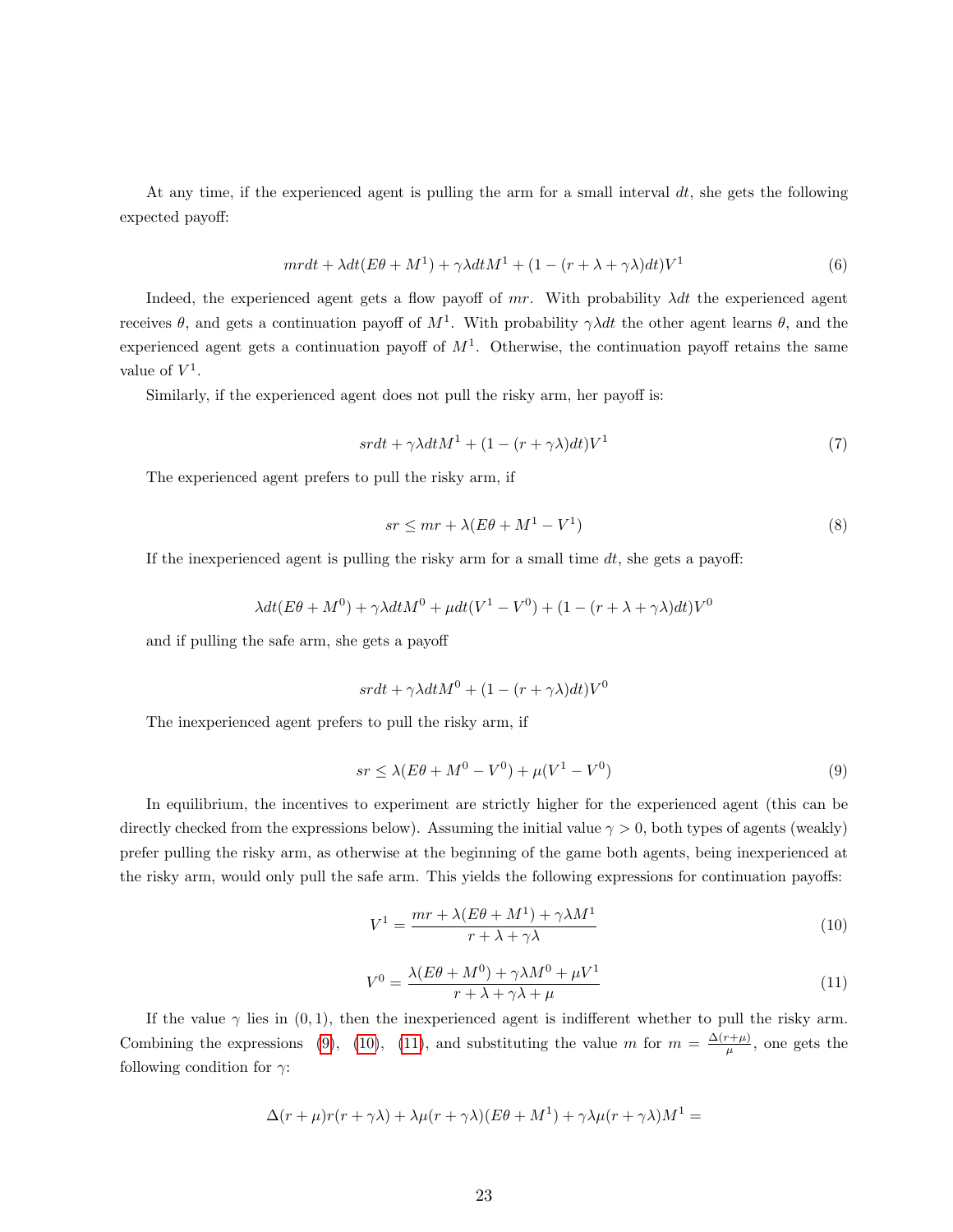At any time, if the experienced agent is pulling the arm for a small interval  $dt$ , she gets the following expected payoff:

$$
mrdt + \lambda dt (E\theta + M^{1}) + \gamma \lambda dt M^{1} + (1 - (r + \lambda + \gamma \lambda) dt) V^{1}
$$
\n<sup>(6)</sup>

Indeed, the experienced agent gets a flow payoff of mr. With probability  $\lambda dt$  the experienced agent receives  $\theta$ , and gets a continuation payoff of  $M^1$ . With probability  $\gamma \lambda dt$  the other agent learns  $\theta$ , and the experienced agent gets a continuation payoff of  $M<sup>1</sup>$ . Otherwise, the continuation payoff retains the same value of  $V^1$ .

Similarly, if the experienced agent does not pull the risky arm, her payoff is:

$$
s r dt + \gamma \lambda dt M^1 + (1 - (r + \gamma \lambda) dt) V^1 \tag{7}
$$

The experienced agent prefers to pull the risky arm, if

$$
sr \le mr + \lambda (E\theta + M^1 - V^1) \tag{8}
$$

If the inexperienced agent is pulling the risky arm for a small time  $dt$ , she gets a payoff:

$$
\lambda dt (E\theta + M^0) + \gamma \lambda dt M^0 + \mu dt (V^1 - V^0) + (1 - (r + \lambda + \gamma \lambda) dt) V^0
$$

and if pulling the safe arm, she gets a payoff

$$
s r dt + \gamma \lambda dt M^{0} + (1 - (r + \gamma \lambda) dt) V^{0}
$$

<span id="page-23-0"></span>The inexperienced agent prefers to pull the risky arm, if

$$
sr \le \lambda (E\theta + M^0 - V^0) + \mu (V^1 - V^0)
$$
\n(9)

<span id="page-23-1"></span>In equilibrium, the incentives to experiment are strictly higher for the experienced agent (this can be directly checked from the expressions below). Assuming the initial value  $\gamma > 0$ , both types of agents (weakly) prefer pulling the risky arm, as otherwise at the beginning of the game both agents, being inexperienced at the risky arm, would only pull the safe arm. This yields the following expressions for continuation payoffs:

$$
V^{1} = \frac{mr + \lambda(E\theta + M^{1}) + \gamma\lambda M^{1}}{r + \lambda + \gamma\lambda}
$$
\n(10)

$$
V^{0} = \frac{\lambda (E\theta + M^{0}) + \gamma \lambda M^{0} + \mu V^{1}}{r + \lambda + \gamma \lambda + \mu}
$$
\n(11)

<span id="page-23-2"></span>If the value  $\gamma$  lies in (0, 1), then the inexperienced agent is indifferent whether to pull the risky arm. Combining the expressions [\(9\)](#page-23-0), [\(10\)](#page-23-1), [\(11\)](#page-23-2), and substituting the value m for  $m = \frac{\Delta(r+\mu)}{\mu}$  $\frac{\mu^2 + \mu}{\mu}$ , one gets the following condition for  $\gamma$ :

$$
\Delta(r+\mu)r(r+\gamma\lambda)+\lambda\mu(r+\gamma\lambda)(E\theta+M^{1})+\gamma\lambda\mu(r+\gamma\lambda)M^{1}=
$$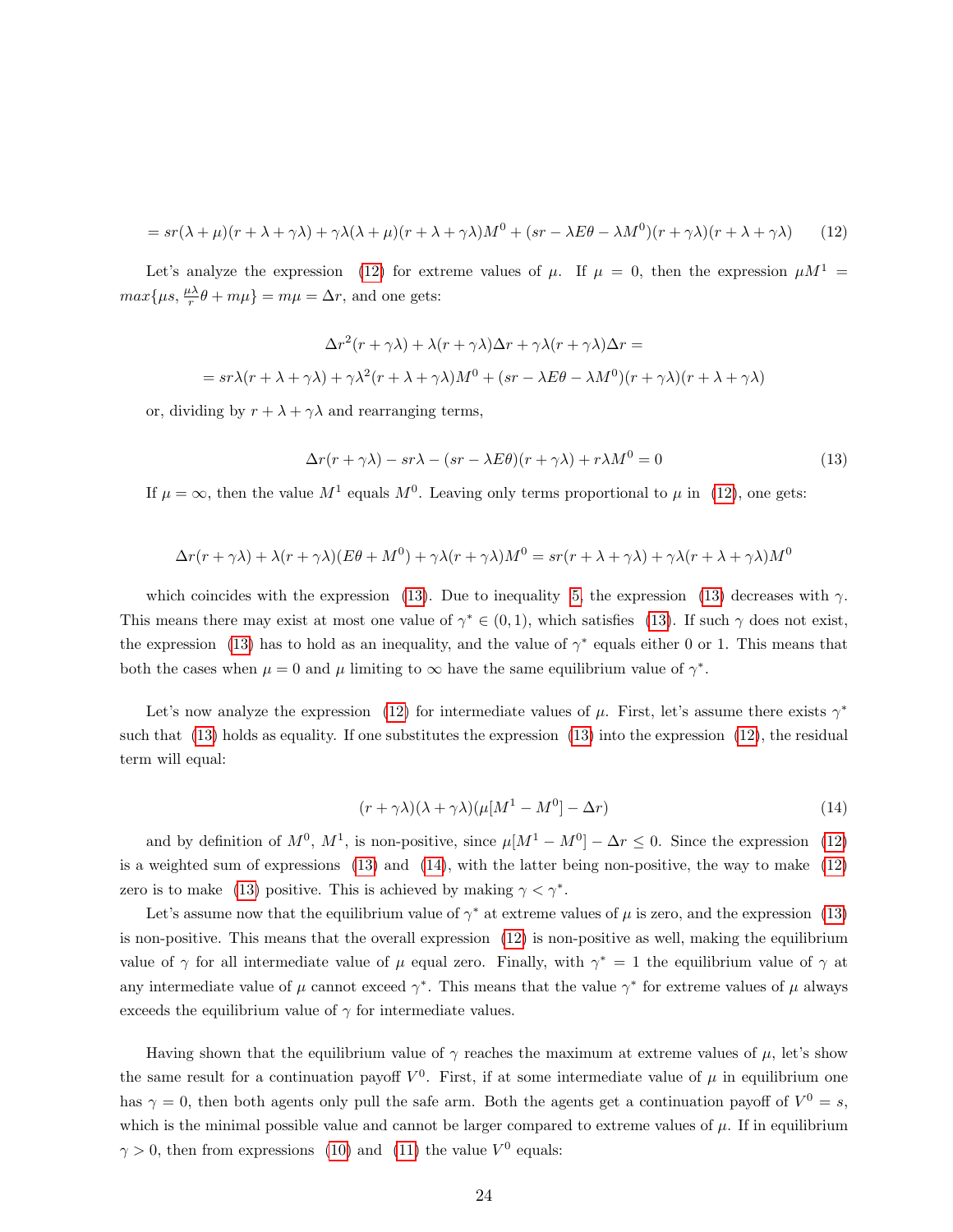<span id="page-24-0"></span>
$$
=sr(\lambda+\mu)(r+\lambda+\gamma\lambda)+\gamma\lambda(\lambda+\mu)(r+\lambda+\gamma\lambda)M^{0}+(sr-\lambda E\theta-\lambda M^{0})(r+\gamma\lambda)(r+\lambda+\gamma\lambda)
$$
(12)

Let's analyze the expression [\(12\)](#page-24-0) for extreme values of  $\mu$ . If  $\mu = 0$ , then the expression  $\mu M^1$  $max\{\mu s, \frac{\mu\lambda}{r}\theta + m\mu\} = m\mu = \Delta r$ , and one gets:

$$
\Delta r^2(r + \gamma \lambda) + \lambda (r + \gamma \lambda) \Delta r + \gamma \lambda (r + \gamma \lambda) \Delta r =
$$
  
=  $s r \lambda (r + \lambda + \gamma \lambda) + \gamma \lambda^2 (r + \lambda + \gamma \lambda) M^0 + (s r - \lambda E \theta - \lambda M^0)(r + \gamma \lambda) (r + \lambda + \gamma \lambda)$ 

<span id="page-24-1"></span>or, dividing by  $r + \lambda + \gamma \lambda$  and rearranging terms,

$$
\Delta r(r + \gamma \lambda) - sr\lambda - (sr - \lambda E\theta)(r + \gamma \lambda) + r\lambda M^0 = 0
$$
\n(13)

If  $\mu = \infty$ , then the value  $M^1$  equals  $M^0$ . Leaving only terms proportional to  $\mu$  in [\(12\)](#page-24-0), one gets:

$$
\Delta r(r + \gamma \lambda) + \lambda (r + \gamma \lambda)(E\theta + M^0) + \gamma \lambda (r + \gamma \lambda)M^0 = sr(r + \lambda + \gamma \lambda) + \gamma \lambda (r + \lambda + \gamma \lambda)M^0
$$

which coincides with the expression [\(13\)](#page-24-1). Due to inequality [5,](#page-22-2) the expression (13) decreases with  $\gamma$ . This means there may exist at most one value of  $\gamma^* \in (0,1)$ , which satisfies [\(13\)](#page-24-1). If such  $\gamma$  does not exist, the expression [\(13\)](#page-24-1) has to hold as an inequality, and the value of  $\gamma^*$  equals either 0 or 1. This means that both the cases when  $\mu = 0$  and  $\mu$  limiting to  $\infty$  have the same equilibrium value of  $\gamma^*$ .

<span id="page-24-2"></span>Let's now analyze the expression [\(12\)](#page-24-0) for intermediate values of  $\mu$ . First, let's assume there exists  $\gamma^*$ such that [\(13\)](#page-24-1) holds as equality. If one substitutes the expression [\(13\)](#page-24-1) into the expression [\(12\)](#page-24-0), the residual term will equal:

$$
(r + \gamma \lambda)(\lambda + \gamma \lambda)(\mu[M^1 - M^0] - \Delta r) \tag{14}
$$

and by definition of  $M^0$ ,  $M^1$ , is non-positive, since  $\mu[M^1 - M^0] - \Delta r \leq 0$ . Since the expression [\(12\)](#page-24-0) is a weighted sum of expressions [\(13\)](#page-24-1) and [\(14\)](#page-24-2), with the latter being non-positive, the way to make [\(12\)](#page-24-0) zero is to make [\(13\)](#page-24-1) positive. This is achieved by making  $\gamma < \gamma^*$ .

Let's assume now that the equilibrium value of  $\gamma^*$  at extreme values of  $\mu$  is zero, and the expression [\(13\)](#page-24-1) is non-positive. This means that the overall expression [\(12\)](#page-24-0) is non-positive as well, making the equilibrium value of  $\gamma$  for all intermediate value of  $\mu$  equal zero. Finally, with  $\gamma^* = 1$  the equilibrium value of  $\gamma$  at any intermediate value of  $\mu$  cannot exceed  $\gamma^*$ . This means that the value  $\gamma^*$  for extreme values of  $\mu$  always exceeds the equilibrium value of  $\gamma$  for intermediate values.

Having shown that the equilibrium value of  $\gamma$  reaches the maximum at extreme values of  $\mu$ , let's show the same result for a continuation payoff  $V^0$ . First, if at some intermediate value of  $\mu$  in equilibrium one has  $\gamma = 0$ , then both agents only pull the safe arm. Both the agents get a continuation payoff of  $V^0 = s$ , which is the minimal possible value and cannot be larger compared to extreme values of  $\mu$ . If in equilibrium  $\gamma > 0$ , then from expressions [\(10\)](#page-23-1) and [\(11\)](#page-23-2) the value  $V^0$  equals: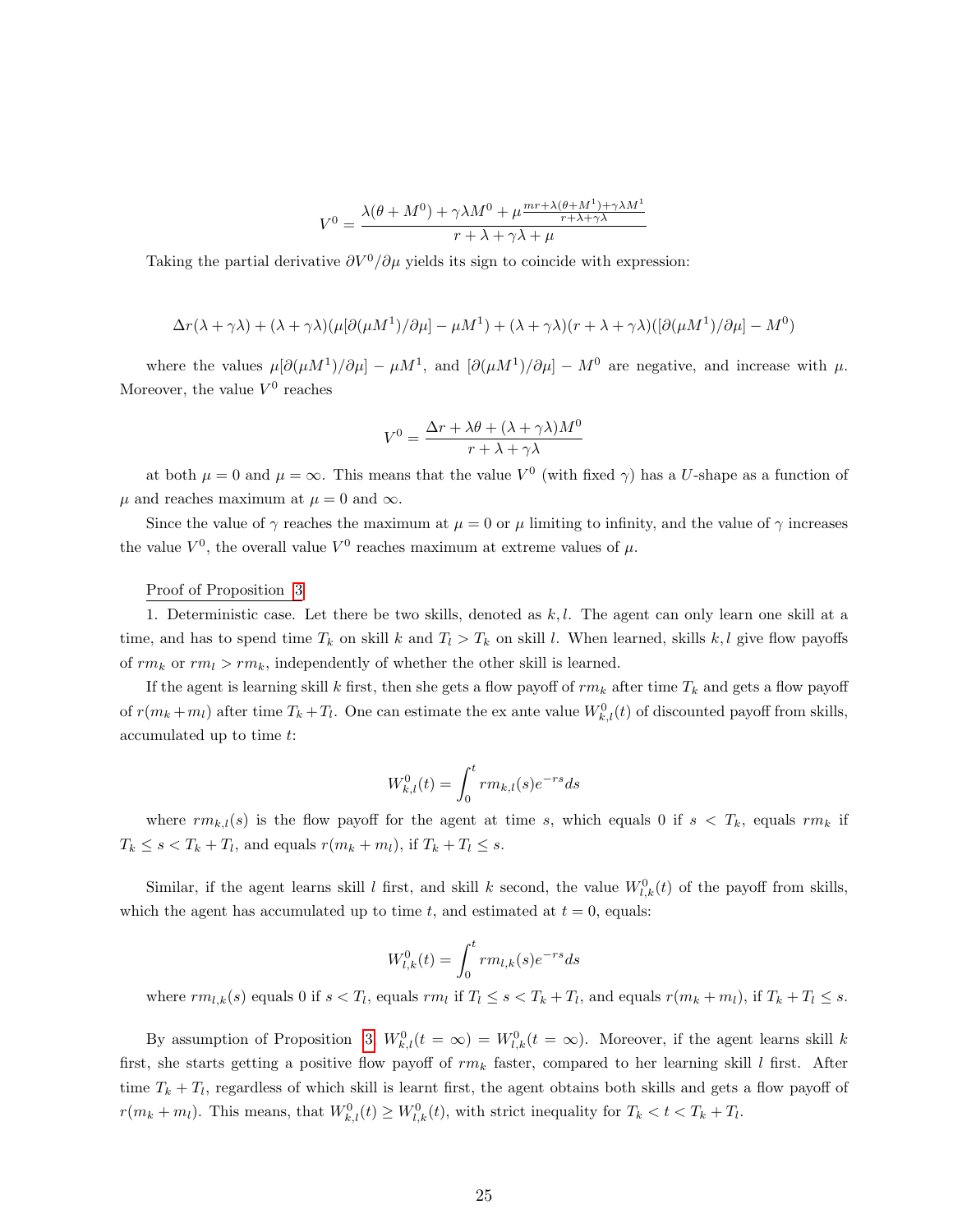$$
V^{0} = \frac{\lambda(\theta + M^{0}) + \gamma \lambda M^{0} + \mu \frac{mr + \lambda(\theta + M^{1}) + \gamma \lambda M^{1}}{r + \lambda + \gamma \lambda}}{r + \lambda + \gamma \lambda + \mu}
$$

Taking the partial derivative  $\partial V^0/\partial \mu$  yields its sign to coincide with expression:

$$
\Delta r(\lambda + \gamma \lambda) + (\lambda + \gamma \lambda)(\mu[\partial(\mu M^1)/\partial \mu] - \mu M^1) + (\lambda + \gamma \lambda)(r + \lambda + \gamma \lambda)([\partial(\mu M^1)/\partial \mu] - M^0)
$$

where the values  $\mu[\partial(\mu M^1)/\partial\mu] - \mu M^1$ , and  $[\partial(\mu M^1)/\partial\mu] - M^0$  are negative, and increase with  $\mu$ . Moreover, the value  $V^0$  reaches

$$
V^{0} = \frac{\Delta r + \lambda \theta + (\lambda + \gamma \lambda) M^{0}}{r + \lambda + \gamma \lambda}
$$

at both  $\mu = 0$  and  $\mu = \infty$ . This means that the value  $V^0$  (with fixed  $\gamma$ ) has a U-shape as a function of  $\mu$  and reaches maximum at  $\mu = 0$  and  $\infty$ .

Since the value of  $\gamma$  reaches the maximum at  $\mu = 0$  or  $\mu$  limiting to infinity, and the value of  $\gamma$  increases the value  $V^0$ , the overall value  $V^0$  reaches maximum at extreme values of  $\mu$ .

#### Proof of Proposition [3](#page-15-0)

1. Deterministic case. Let there be two skills, denoted as  $k, l$ . The agent can only learn one skill at a time, and has to spend time  $T_k$  on skill k and  $T_l > T_k$  on skill l. When learned, skills k, l give flow payoffs of  $rm_k$  or  $rm_l > rm_k$ , independently of whether the other skill is learned.

If the agent is learning skill k first, then she gets a flow payoff of  $rm_k$  after time  $T_k$  and gets a flow payoff of  $r(m_k + m_l)$  after time  $T_k + T_l$ . One can estimate the ex ante value  $W_{k,l}^0(t)$  of discounted payoff from skills, accumulated up to time t:

$$
W_{k,l}^{0}(t) = \int_{0}^{t} r m_{k,l}(s) e^{-rs} ds
$$

where  $rm_{k,l}(s)$  is the flow payoff for the agent at time s, which equals 0 if  $s < T_k$ , equals  $rm_k$  if  $T_k \leq s < T_k + T_l$ , and equals  $r(m_k + m_l)$ , if  $T_k + T_l \leq s$ .

Similar, if the agent learns skill l first, and skill k second, the value  $W_{l,k}^{0}(t)$  of the payoff from skills, which the agent has accumulated up to time t, and estimated at  $t = 0$ , equals:

$$
W_{l,k}^{0}(t) = \int_{0}^{t} r m_{l,k}(s) e^{-rs} ds
$$

where  $rm_{l,k}(s)$  equals 0 if  $s < T_l$ , equals  $rm_l$  if  $T_l \leq s < T_k + T_l$ , and equals  $r(m_k + m_l)$ , if  $T_k + T_l \leq s$ .

By assumption of Proposition [3,](#page-15-0)  $W_{k,l}^0(t = \infty) = W_{l,k}^0(t = \infty)$ . Moreover, if the agent learns skill k first, she starts getting a positive flow payoff of  $rm_k$  faster, compared to her learning skill l first. After time  $T_k + T_l$ , regardless of which skill is learnt first, the agent obtains both skills and gets a flow payoff of  $r(m_k + m_l)$ . This means, that  $W_{k,l}^0(t) \geq W_{l,k}^0(t)$ , with strict inequality for  $T_k < t < T_k + T_l$ .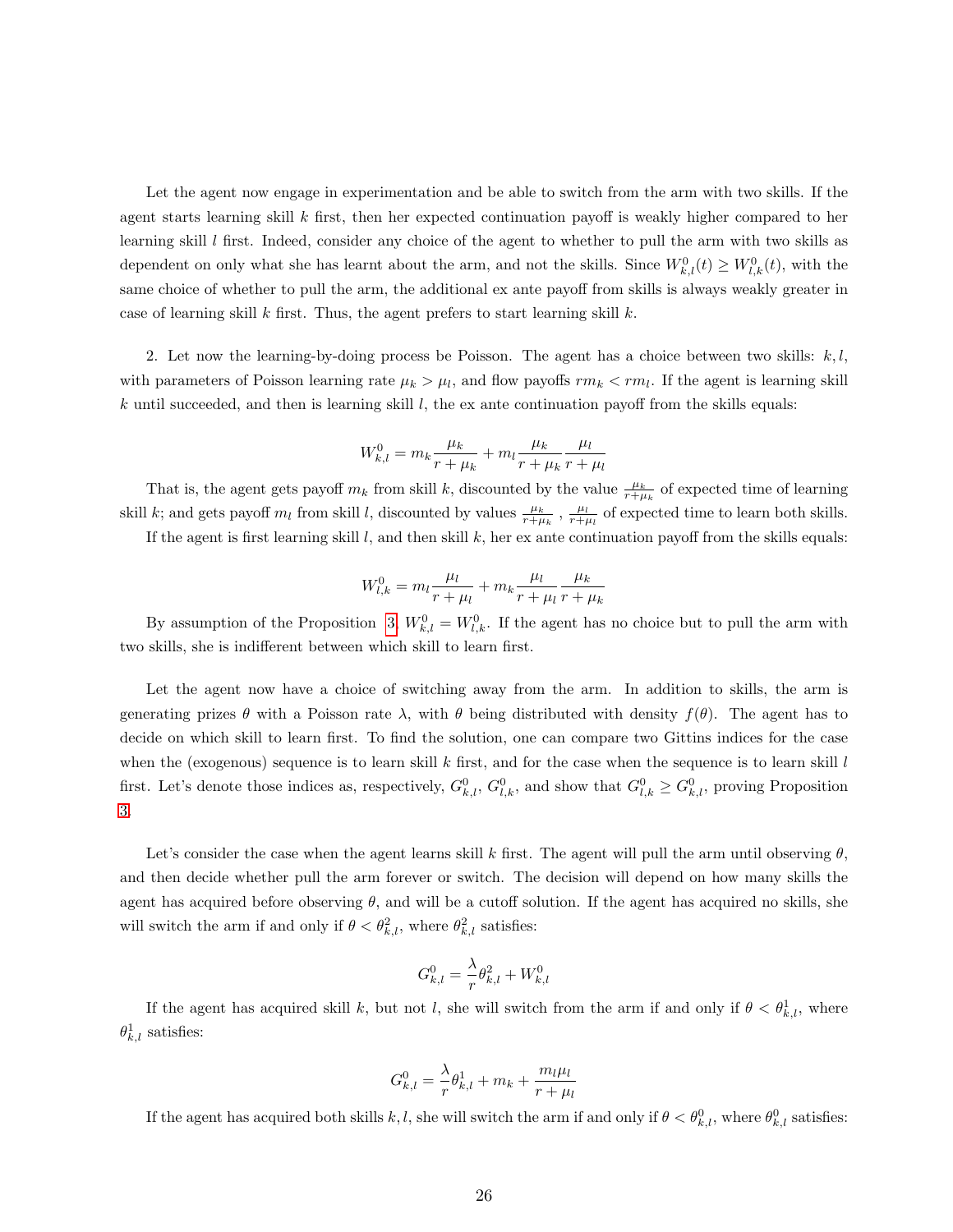Let the agent now engage in experimentation and be able to switch from the arm with two skills. If the agent starts learning skill k first, then her expected continuation payoff is weakly higher compared to her learning skill l first. Indeed, consider any choice of the agent to whether to pull the arm with two skills as dependent on only what she has learnt about the arm, and not the skills. Since  $W_{k,l}^0(t) \geq W_{l,k}^0(t)$ , with the same choice of whether to pull the arm, the additional ex ante payoff from skills is always weakly greater in case of learning skill k first. Thus, the agent prefers to start learning skill  $k$ .

2. Let now the learning-by-doing process be Poisson. The agent has a choice between two skills:  $k, l$ , with parameters of Poisson learning rate  $\mu_k > \mu_l$ , and flow payoffs  $rm_k < rm_l$ . If the agent is learning skill k until succeeded, and then is learning skill  $l$ , the ex ante continuation payoff from the skills equals:

$$
W_{k,l}^{0} = m_k \frac{\mu_k}{r + \mu_k} + m_l \frac{\mu_k}{r + \mu_k} \frac{\mu_l}{r + \mu_l}
$$

That is, the agent gets payoff  $m_k$  from skill k, discounted by the value  $\frac{\mu_k}{r+\mu_k}$  of expected time of learning skill k; and gets payoff  $m_l$  from skill l, discounted by values  $\frac{\mu_k}{r+\mu_k}$ ,  $\frac{\mu_l}{r+\mu_l}$  of expected time to learn both skills.

If the agent is first learning skill  $l$ , and then skill  $k$ , her ex ante continuation payoff from the skills equals:

$$
W_{l,k}^{0} = m_l \frac{\mu_l}{r + \mu_l} + m_k \frac{\mu_l}{r + \mu_l} \frac{\mu_k}{r + \mu_k}
$$

By assumption of the Proposition [3,](#page-15-0)  $W_{k,l}^0 = W_{l,k}^0$ . If the agent has no choice but to pull the arm with two skills, she is indifferent between which skill to learn first.

Let the agent now have a choice of switching away from the arm. In addition to skills, the arm is generating prizes  $\theta$  with a Poisson rate  $\lambda$ , with  $\theta$  being distributed with density  $f(\theta)$ . The agent has to decide on which skill to learn first. To find the solution, one can compare two Gittins indices for the case when the (exogenous) sequence is to learn skill k first, and for the case when the sequence is to learn skill  $l$ first. Let's denote those indices as, respectively,  $G_{k,l}^0$ ,  $G_{l,k}^0$ , and show that  $G_{l,k}^0 \geq G_{k,l}^0$ , proving Proposition [3.](#page-15-0)

Let's consider the case when the agent learns skill k first. The agent will pull the arm until observing  $\theta$ , and then decide whether pull the arm forever or switch. The decision will depend on how many skills the agent has acquired before observing  $\theta$ , and will be a cutoff solution. If the agent has acquired no skills, she will switch the arm if and only if  $\theta < \theta_{k,l}^2$ , where  $\theta_{k,l}^2$  satisfies:

$$
G_{k,l}^0 = \frac{\lambda}{r} \theta_{k,l}^2 + W_{k,l}^0
$$

If the agent has acquired skill k, but not l, she will switch from the arm if and only if  $\theta < \theta_{k,l}^1$ , where  $\theta_{k,l}^1$  satisfies:

$$
G_{k,l}^0 = \frac{\lambda}{r} \theta_{k,l}^1 + m_k + \frac{m_l \mu_l}{r + \mu_l}
$$

If the agent has acquired both skills k, l, she will switch the arm if and only if  $\theta < \theta_{k,l}^0$ , where  $\theta_{k,l}^0$  satisfies: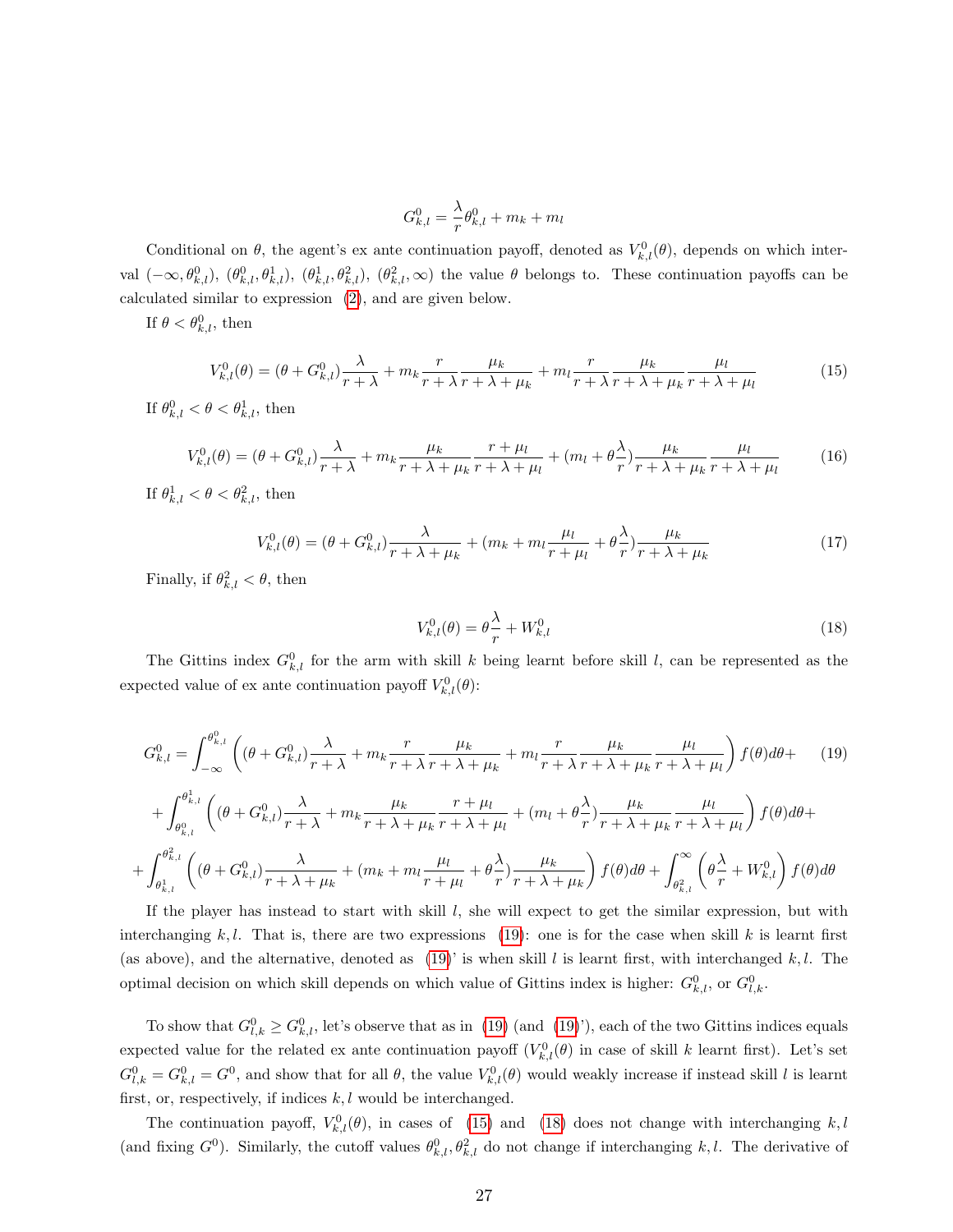$$
G_{k,l}^0 = \frac{\lambda}{r} \theta_{k,l}^0 + m_k + m_l
$$

Conditional on  $\theta$ , the agent's ex ante continuation payoff, denoted as  $V_{k,l}^{0}(\theta)$ , depends on which interval  $(-\infty, \theta_{k,l}^0), (\theta_{k,l}^0, \theta_{k,l}^1), (\theta_{k,l}^1, \theta_{k,l}^2), (\theta_{k,l}^2, \infty)$  the value  $\theta$  belongs to. These continuation payoffs can be calculated similar to expression [\(2\)](#page-20-0), and are given below.

<span id="page-27-1"></span>If  $\theta < \theta_{k,l}^0$ , then

$$
V_{k,l}^{0}(\theta) = (\theta + G_{k,l}^{0})\frac{\lambda}{r+\lambda} + m_k \frac{r}{r+\lambda} \frac{\mu_k}{r+\lambda+\mu_k} + m_l \frac{r}{r+\lambda} \frac{\mu_k}{r+\lambda+\mu_k} \frac{\mu_l}{r+\lambda+\mu_l}
$$
(15)

<span id="page-27-3"></span>If  $\theta_{k,l}^0 < \theta < \theta_{k,l}^1$ , then

$$
V_{k,l}^{0}(\theta) = (\theta + G_{k,l}^{0})\frac{\lambda}{r+\lambda} + m_k \frac{\mu_k}{r+\lambda+\mu_k} \frac{r+\mu_l}{r+\lambda+\mu_l} + (m_l + \theta \frac{\lambda}{r})\frac{\mu_k}{r+\lambda+\mu_k} \frac{\mu_l}{r+\lambda+\mu_l}
$$
(16)

<span id="page-27-4"></span>If  $\theta_{k,l}^1 < \theta < \theta_{k,l}^2$ , then

$$
V_{k,l}^{0}(\theta) = (\theta + G_{k,l}^{0})\frac{\lambda}{r + \lambda + \mu_k} + (m_k + m_l \frac{\mu_l}{r + \mu_l} + \theta \frac{\lambda}{r})\frac{\mu_k}{r + \lambda + \mu_k}
$$
(17)

<span id="page-27-2"></span>Finally, if  $\theta_{k,l}^2 < \theta$ , then

$$
V_{k,l}^{0}(\theta) = \theta \frac{\lambda}{r} + W_{k,l}^{0}
$$
\n<sup>(18)</sup>

The Gittins index  $G_{k,l}^0$  for the arm with skill k being learnt before skill l, can be represented as the expected value of ex ante continuation payoff  $V_{k,l}^{0}(\theta)$ :

<span id="page-27-0"></span>
$$
G_{k,l}^{0} = \int_{-\infty}^{\theta_{k,l}^{0}} \left( (\theta + G_{k,l}^{0}) \frac{\lambda}{r + \lambda} + m_k \frac{r}{r + \lambda} \frac{\mu_k}{r + \lambda + \mu_k} + m_l \frac{r}{r + \lambda} \frac{\mu_k}{r + \lambda + \mu_k} \frac{\mu_l}{r + \lambda + \mu_l} \right) f(\theta) d\theta + \tag{19}
$$

$$
+\int_{\theta_{k,l}^{0}}^{\theta_{k,l}^{1}} \left( (\theta+G_{k,l}^{0}) \frac{\lambda}{r+\lambda}+m_{k} \frac{\mu_{k}}{r+\lambda+\mu_{k}} \frac{r+\mu_{l}}{r+\lambda+\mu_{l}}+(m_{l}+\theta \frac{\lambda}{r}) \frac{\mu_{k}}{r+\lambda+\mu_{k}} \frac{\mu_{l}}{r+\lambda+\mu_{l}} \right) f(\theta) d\theta +
$$
  
+
$$
\int_{\theta_{k,l}^{1}}^{\theta_{k,l}^{2}} \left( (\theta+G_{k,l}^{0}) \frac{\lambda}{r+\lambda+\mu_{k}}+(m_{k}+m_{l} \frac{\mu_{l}}{r+\mu_{l}}+\theta \frac{\lambda}{r}) \frac{\mu_{k}}{r+\lambda+\mu_{k}} \right) f(\theta) d\theta + \int_{\theta_{k,l}^{2}}^{\infty} \left( \theta \frac{\lambda}{r}+W_{k,l}^{0} \right) f(\theta) d\theta
$$

If the player has instead to start with skill  $l$ , she will expect to get the similar expression, but with interchanging k, l. That is, there are two expressions [\(19\)](#page-27-0): one is for the case when skill k is learnt first (as above), and the alternative, denoted as [\(19\)](#page-27-0)' is when skill l is learnt first, with interchanged k, l. The optimal decision on which skill depends on which value of Gittins index is higher:  $G_{k,l}^0$ , or  $G_{l,k}^0$ .

To show that  $G_{l,k}^0 \geq G_{k,l}^0$ , let's observe that as in [\(19\)](#page-27-0) (and (19)'), each of the two Gittins indices equals expected value for the related ex ante continuation payoff  $(V_{k,l}^0(\theta))$  in case of skill k learnt first). Let's set  $G_{l,k}^0 = G_{k,l}^0 = G^0$ , and show that for all  $\theta$ , the value  $V_{k,l}^0(\theta)$  would weakly increase if instead skill l is learnt first, or, respectively, if indices  $k, l$  would be interchanged.

The continuation payoff,  $V_{k,l}^{0}(\theta)$ , in cases of [\(15\)](#page-27-1) and [\(18\)](#page-27-2) does not change with interchanging k, l (and fixing  $G^0$ ). Similarly, the cutoff values  $\theta^0_{k,l}, \theta^2_{k,l}$  do not change if interchanging k,l. The derivative of